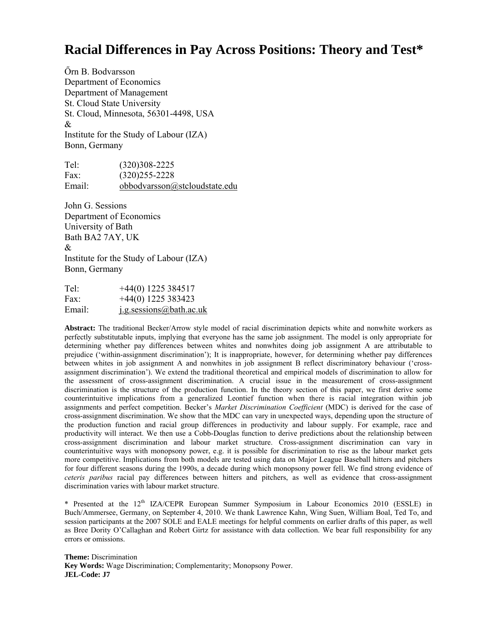# **Racial Differences in Pay Across Positions: Theory and Test\***

Őrn B. Bodvarsson Department of Economics Department of Management St. Cloud State University St. Cloud, Minnesota, 56301-4498, USA & Institute for the Study of Labour (IZA) Bonn, Germany

Tel: (320)308-2225 Fax: (320)255-2228 Email: obbodvarsson@stcloudstate.edu

John G. Sessions Department of Economics University of Bath Bath BA2 7AY, UK & Institute for the Study of Labour (IZA) Bonn, Germany

Tel: +44(0) 1225 384517 Fax:  $+44(0)$  1225 383423 Email: j.g.sessions@bath.ac.uk

**Abstract:** The traditional Becker/Arrow style model of racial discrimination depicts white and nonwhite workers as perfectly substitutable inputs, implying that everyone has the same job assignment. The model is only appropriate for determining whether pay differences between whites and nonwhites doing job assignment A are attributable to prejudice ('within-assignment discrimination'); It is inappropriate, however, for determining whether pay differences between whites in job assignment A and nonwhites in job assignment B reflect discriminatory behaviour ('crossassignment discrimination'). We extend the traditional theoretical and empirical models of discrimination to allow for the assessment of cross-assignment discrimination. A crucial issue in the measurement of cross-assignment discrimination is the structure of the production function. In the theory section of this paper, we first derive some counterintuitive implications from a generalized Leontief function when there is racial integration within job assignments and perfect competition. Becker's *Market Discrimination Coefficient* (MDC) is derived for the case of cross-assignment discrimination. We show that the MDC can vary in unexpected ways, depending upon the structure of the production function and racial group differences in productivity and labour supply. For example, race and productivity will interact. We then use a Cobb-Douglas function to derive predictions about the relationship between cross-assignment discrimination and labour market structure. Cross-assignment discrimination can vary in counterintuitive ways with monopsony power, e.g. it is possible for discrimination to rise as the labour market gets more competitive. Implications from both models are tested using data on Major League Baseball hitters and pitchers for four different seasons during the 1990s, a decade during which monopsony power fell. We find strong evidence of *ceteris paribus* racial pay differences between hitters and pitchers, as well as evidence that cross-assignment discrimination varies with labour market structure.

\* Presented at the 12<sup>th</sup> IZA/CEPR European Summer Symposium in Labour Economics 2010 (ESSLE) in Buch/Ammersee, Germany, on September 4, 2010. We thank Lawrence Kahn, Wing Suen, William Boal, Ted To, and session participants at the 2007 SOLE and EALE meetings for helpful comments on earlier drafts of this paper, as well as Bree Dority O'Callaghan and Robert Girtz for assistance with data collection. We bear full responsibility for any errors or omissions.

**Theme:** Discrimination **Key Words:** Wage Discrimination; Complementarity; Monopsony Power. **JEL-Code: J7**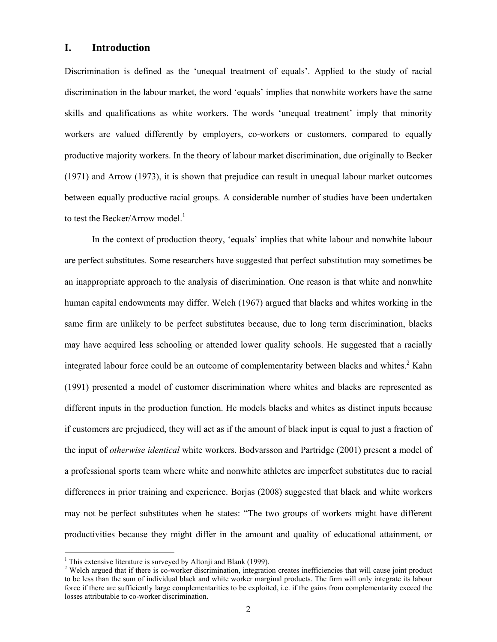# **I. Introduction**

Discrimination is defined as the 'unequal treatment of equals'. Applied to the study of racial discrimination in the labour market, the word 'equals' implies that nonwhite workers have the same skills and qualifications as white workers. The words 'unequal treatment' imply that minority workers are valued differently by employers, co-workers or customers, compared to equally productive majority workers. In the theory of labour market discrimination, due originally to Becker (1971) and Arrow (1973), it is shown that prejudice can result in unequal labour market outcomes between equally productive racial groups. A considerable number of studies have been undertaken to test the Becker/Arrow model. $<sup>1</sup>$ </sup>

In the context of production theory, 'equals' implies that white labour and nonwhite labour are perfect substitutes. Some researchers have suggested that perfect substitution may sometimes be an inappropriate approach to the analysis of discrimination. One reason is that white and nonwhite human capital endowments may differ. Welch (1967) argued that blacks and whites working in the same firm are unlikely to be perfect substitutes because, due to long term discrimination, blacks may have acquired less schooling or attended lower quality schools. He suggested that a racially integrated labour force could be an outcome of complementarity between blacks and whites.<sup>2</sup> Kahn (1991) presented a model of customer discrimination where whites and blacks are represented as different inputs in the production function. He models blacks and whites as distinct inputs because if customers are prejudiced, they will act as if the amount of black input is equal to just a fraction of the input of *otherwise identical* white workers. Bodvarsson and Partridge (2001) present a model of a professional sports team where white and nonwhite athletes are imperfect substitutes due to racial differences in prior training and experience. Borjas (2008) suggested that black and white workers may not be perfect substitutes when he states: "The two groups of workers might have different productivities because they might differ in the amount and quality of educational attainment, or

 $\overline{a}$ 

<sup>&</sup>lt;sup>1</sup> This extensive literature is surveyed by Altonji and Blank (1999).

 $2$  Welch argued that if there is co-worker discrimination, integration creates inefficiencies that will cause joint product to be less than the sum of individual black and white worker marginal products. The firm will only integrate its labour force if there are sufficiently large complementarities to be exploited, i.e. if the gains from complementarity exceed the losses attributable to co-worker discrimination.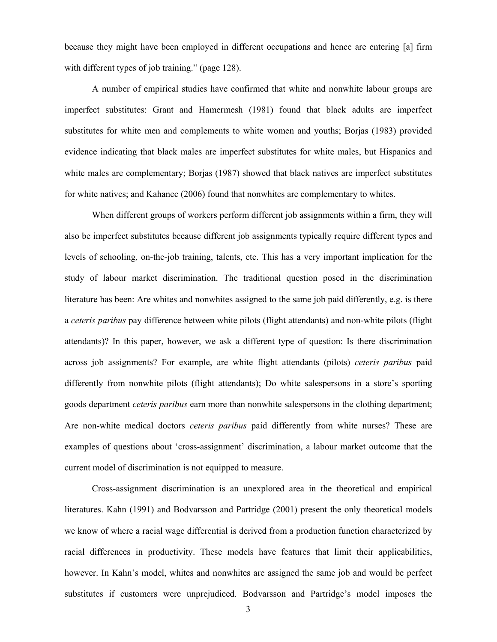because they might have been employed in different occupations and hence are entering [a] firm with different types of job training." (page 128).

A number of empirical studies have confirmed that white and nonwhite labour groups are imperfect substitutes: Grant and Hamermesh (1981) found that black adults are imperfect substitutes for white men and complements to white women and youths; Borjas (1983) provided evidence indicating that black males are imperfect substitutes for white males, but Hispanics and white males are complementary; Borjas (1987) showed that black natives are imperfect substitutes for white natives; and Kahanec (2006) found that nonwhites are complementary to whites.

When different groups of workers perform different job assignments within a firm, they will also be imperfect substitutes because different job assignments typically require different types and levels of schooling, on-the-job training, talents, etc. This has a very important implication for the study of labour market discrimination. The traditional question posed in the discrimination literature has been: Are whites and nonwhites assigned to the same job paid differently, e.g. is there a *ceteris paribus* pay difference between white pilots (flight attendants) and non-white pilots (flight attendants)? In this paper, however, we ask a different type of question: Is there discrimination across job assignments? For example, are white flight attendants (pilots) *ceteris paribus* paid differently from nonwhite pilots (flight attendants); Do white salespersons in a store's sporting goods department *ceteris paribus* earn more than nonwhite salespersons in the clothing department; Are non-white medical doctors *ceteris paribus* paid differently from white nurses? These are examples of questions about 'cross-assignment' discrimination, a labour market outcome that the current model of discrimination is not equipped to measure.

Cross-assignment discrimination is an unexplored area in the theoretical and empirical literatures. Kahn (1991) and Bodvarsson and Partridge (2001) present the only theoretical models we know of where a racial wage differential is derived from a production function characterized by racial differences in productivity. These models have features that limit their applicabilities, however. In Kahn's model, whites and nonwhites are assigned the same job and would be perfect substitutes if customers were unprejudiced. Bodvarsson and Partridge's model imposes the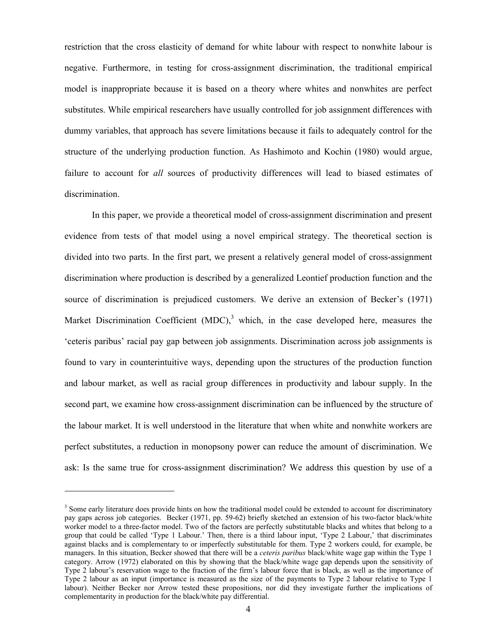restriction that the cross elasticity of demand for white labour with respect to nonwhite labour is negative. Furthermore, in testing for cross-assignment discrimination, the traditional empirical model is inappropriate because it is based on a theory where whites and nonwhites are perfect substitutes. While empirical researchers have usually controlled for job assignment differences with dummy variables, that approach has severe limitations because it fails to adequately control for the structure of the underlying production function. As Hashimoto and Kochin (1980) would argue, failure to account for *all* sources of productivity differences will lead to biased estimates of discrimination.

In this paper, we provide a theoretical model of cross-assignment discrimination and present evidence from tests of that model using a novel empirical strategy. The theoretical section is divided into two parts. In the first part, we present a relatively general model of cross-assignment discrimination where production is described by a generalized Leontief production function and the source of discrimination is prejudiced customers. We derive an extension of Becker's (1971) Market Discrimination Coefficient  $(MDC)$ ,<sup>3</sup> which, in the case developed here, measures the 'ceteris paribus' racial pay gap between job assignments. Discrimination across job assignments is found to vary in counterintuitive ways, depending upon the structures of the production function and labour market, as well as racial group differences in productivity and labour supply. In the second part, we examine how cross-assignment discrimination can be influenced by the structure of the labour market. It is well understood in the literature that when white and nonwhite workers are perfect substitutes, a reduction in monopsony power can reduce the amount of discrimination. We ask: Is the same true for cross-assignment discrimination? We address this question by use of a

 $\overline{a}$ 

 $3$  Some early literature does provide hints on how the traditional model could be extended to account for discriminatory pay gaps across job categories. Becker (1971, pp. 59-62) briefly sketched an extension of his two-factor black/white worker model to a three-factor model. Two of the factors are perfectly substitutable blacks and whites that belong to a group that could be called 'Type 1 Labour.' Then, there is a third labour input, 'Type 2 Labour,' that discriminates against blacks and is complementary to or imperfectly substitutable for them. Type 2 workers could, for example, be managers. In this situation, Becker showed that there will be a *ceteris paribus* black/white wage gap within the Type 1 category. Arrow (1972) elaborated on this by showing that the black/white wage gap depends upon the sensitivity of Type 2 labour's reservation wage to the fraction of the firm's labour force that is black, as well as the importance of Type 2 labour as an input (importance is measured as the size of the payments to Type 2 labour relative to Type 1 labour). Neither Becker nor Arrow tested these propositions, nor did they investigate further the implications of complementarity in production for the black/white pay differential.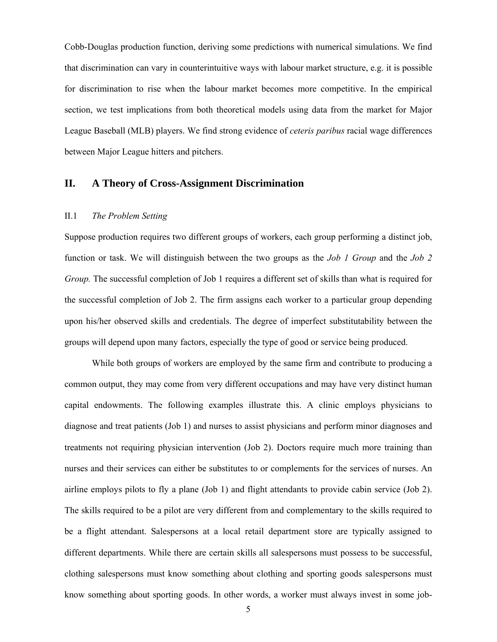Cobb-Douglas production function, deriving some predictions with numerical simulations. We find that discrimination can vary in counterintuitive ways with labour market structure, e.g. it is possible for discrimination to rise when the labour market becomes more competitive. In the empirical section, we test implications from both theoretical models using data from the market for Major League Baseball (MLB) players. We find strong evidence of *ceteris paribus* racial wage differences between Major League hitters and pitchers.

# **II. A Theory of Cross-Assignment Discrimination**

# II.1 *The Problem Setting*

Suppose production requires two different groups of workers, each group performing a distinct job, function or task. We will distinguish between the two groups as the *Job 1 Group* and the *Job 2 Group.* The successful completion of Job 1 requires a different set of skills than what is required for the successful completion of Job 2. The firm assigns each worker to a particular group depending upon his/her observed skills and credentials. The degree of imperfect substitutability between the groups will depend upon many factors, especially the type of good or service being produced.

While both groups of workers are employed by the same firm and contribute to producing a common output, they may come from very different occupations and may have very distinct human capital endowments. The following examples illustrate this. A clinic employs physicians to diagnose and treat patients (Job 1) and nurses to assist physicians and perform minor diagnoses and treatments not requiring physician intervention (Job 2). Doctors require much more training than nurses and their services can either be substitutes to or complements for the services of nurses. An airline employs pilots to fly a plane (Job 1) and flight attendants to provide cabin service (Job 2). The skills required to be a pilot are very different from and complementary to the skills required to be a flight attendant. Salespersons at a local retail department store are typically assigned to different departments. While there are certain skills all salespersons must possess to be successful, clothing salespersons must know something about clothing and sporting goods salespersons must know something about sporting goods. In other words, a worker must always invest in some job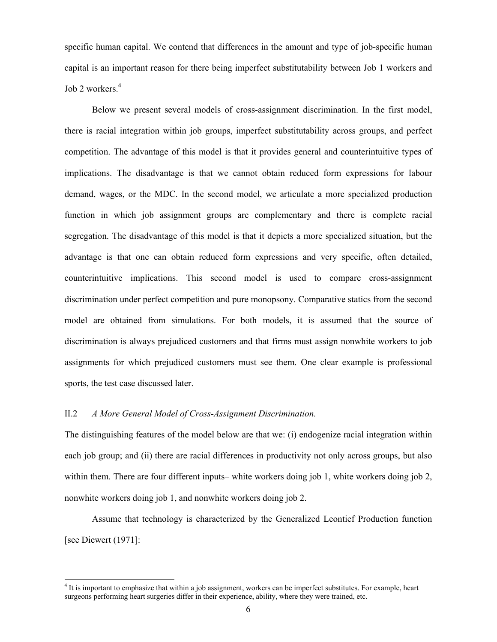specific human capital. We contend that differences in the amount and type of job-specific human capital is an important reason for there being imperfect substitutability between Job 1 workers and Job 2 workers.<sup>4</sup>

Below we present several models of cross-assignment discrimination. In the first model, there is racial integration within job groups, imperfect substitutability across groups, and perfect competition. The advantage of this model is that it provides general and counterintuitive types of implications. The disadvantage is that we cannot obtain reduced form expressions for labour demand, wages, or the MDC. In the second model, we articulate a more specialized production function in which job assignment groups are complementary and there is complete racial segregation. The disadvantage of this model is that it depicts a more specialized situation, but the advantage is that one can obtain reduced form expressions and very specific, often detailed, counterintuitive implications. This second model is used to compare cross-assignment discrimination under perfect competition and pure monopsony. Comparative statics from the second model are obtained from simulations. For both models, it is assumed that the source of discrimination is always prejudiced customers and that firms must assign nonwhite workers to job assignments for which prejudiced customers must see them. One clear example is professional sports, the test case discussed later.

#### II.2 *A More General Model of Cross-Assignment Discrimination.*

 $\overline{a}$ 

The distinguishing features of the model below are that we: (i) endogenize racial integration within each job group; and (ii) there are racial differences in productivity not only across groups, but also within them. There are four different inputs– white workers doing job 1, white workers doing job 2, nonwhite workers doing job 1, and nonwhite workers doing job 2.

Assume that technology is characterized by the Generalized Leontief Production function [see Diewert (1971]:

<sup>&</sup>lt;sup>4</sup> It is important to emphasize that within a job assignment, workers can be imperfect substitutes. For example, heart surgeons performing heart surgeries differ in their experience, ability, where they were trained, etc.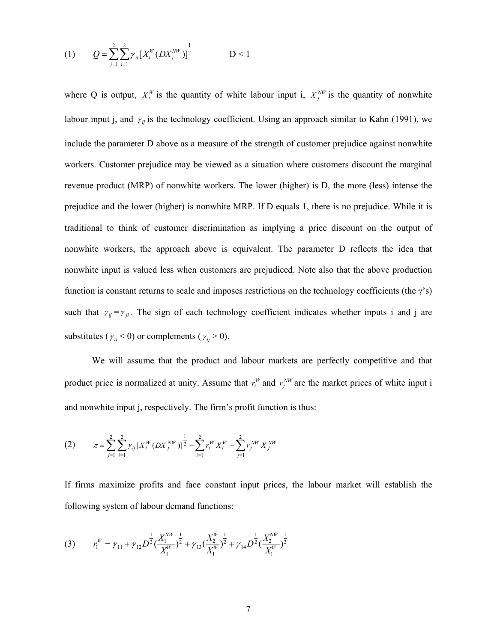(1) 
$$
Q = \sum_{j=1}^{2} \sum_{i=1}^{2} \gamma_{ij} [X_i^{W} (DX_j^{NW})]^{\frac{1}{2}}
$$
 D < 1

where Q is output,  $X_i^W$  is the quantity of white labour input i,  $X_j^{NW}$  is the quantity of nonwhite labour input j, and  $\gamma_{ij}$  is the technology coefficient. Using an approach similar to Kahn (1991), we include the parameter D above as a measure of the strength of customer prejudice against nonwhite workers. Customer prejudice may be viewed as a situation where customers discount the marginal revenue product (MRP) of nonwhite workers. The lower (higher) is D, the more (less) intense the prejudice and the lower (higher) is nonwhite MRP. If D equals 1, there is no prejudice. While it is traditional to think of customer discrimination as implying a price discount on the output of nonwhite workers, the approach above is equivalent. The parameter D reflects the idea that nonwhite input is valued less when customers are prejudiced. Note also that the above production function is constant returns to scale and imposes restrictions on the technology coefficients (the  $\gamma$ 's) such that  $\gamma_{ij} = \gamma_{ji}$ . The sign of each technology coefficient indicates whether inputs i and j are substitutes ( $\gamma_{ij}$  < 0) or complements ( $\gamma_{ij}$  > 0).

We will assume that the product and labour markets are perfectly competitive and that product price is normalized at unity. Assume that  $r_i^W$  and  $r_j^W$  are the market prices of white input i and nonwhite input j, respectively. The firm's profit function is thus:

(2) 
$$
\pi = \sum_{j=1}^{2} \sum_{i=1}^{2} \gamma_{ij} [X_i^W (DX_j^{NW})]^{\frac{1}{2}} - \sum_{i=1}^{2} r_i^W X_i^W - \sum_{j=1}^{2} r_j^{NW} X_j^{NW}
$$

If firms maximize profits and face constant input prices, the labour market will establish the following system of labour demand functions:

(3) 
$$
r_1^W = \gamma_{11} + \gamma_{12} D^{\frac{1}{2}} \left(\frac{X_1^{NW}}{X_1^W}\right)^{\frac{1}{2}} + \gamma_{13} \left(\frac{X_2^W}{X_1^W}\right)^{\frac{1}{2}} + \gamma_{14} D^{\frac{1}{2}} \left(\frac{X_2^{NW}}{X_1^W}\right)^{\frac{1}{2}}
$$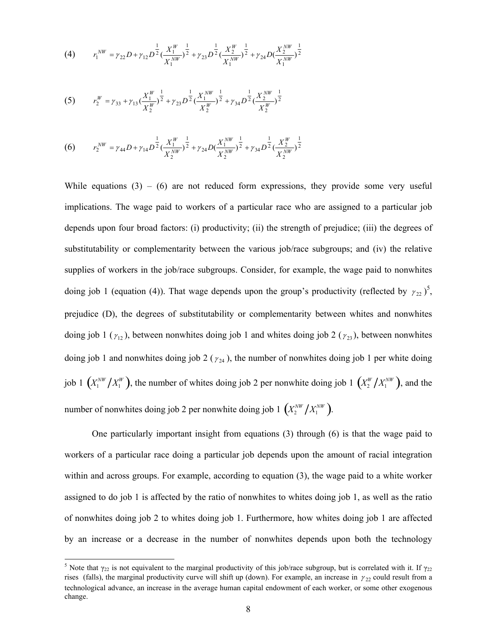$$
(4) \qquad r_1^{NW} = \gamma_{22} D + \gamma_{12} D^{\frac{1}{2}} \frac{X_1^W}{(X_1^{NW})^{\frac{1}{2}}} + \gamma_{23} D^{\frac{1}{2}} \frac{X_2^W}{(X_1^{NW})^{\frac{1}{2}}} + \gamma_{24} D \frac{(X_2^{NW})^{\frac{1}{2}}}{X_1^{NW}} )^{\frac{1}{2}}
$$

(5) 
$$
r_2^W = \gamma_{33} + \gamma_{13} \left(\frac{X_1^W}{X_2^W}\right)^{\frac{1}{2}} + \gamma_{23} D^{\frac{1}{2}} \left(\frac{X_1^{NW}}{X_2^W}\right)^{\frac{1}{2}} + \gamma_{34} D^{\frac{1}{2}} \left(\frac{X_2^{NW}}{X_2^W}\right)^{\frac{1}{2}}
$$

$$
(6) \hspace{0.2in} r_2^{NW} = \gamma_{44} D + \gamma_{14} D^{\frac{1}{2}} \left(\frac{X_1^W}{X_2^{NW}}\right)^{\frac{1}{2}} + \gamma_{24} D \left(\frac{X_1^{NW}}{X_2^{NW}}\right)^{\frac{1}{2}} + \gamma_{34} D^{\frac{1}{2}} \left(\frac{X_2^W}{X_2^{NW}}\right)^{\frac{1}{2}}
$$

While equations  $(3) - (6)$  are not reduced form expressions, they provide some very useful implications. The wage paid to workers of a particular race who are assigned to a particular job depends upon four broad factors: (i) productivity; (ii) the strength of prejudice; (iii) the degrees of substitutability or complementarity between the various job/race subgroups; and (iv) the relative supplies of workers in the job/race subgroups. Consider, for example, the wage paid to nonwhites doing job 1 (equation (4)). That wage depends upon the group's productivity (reflected by  $\gamma_{22}$ )<sup>5</sup>, prejudice (D), the degrees of substitutability or complementarity between whites and nonwhites doing job 1 ( $\gamma_{12}$ ), between nonwhites doing job 1 and whites doing job 2 ( $\gamma_{23}$ ), between nonwhites doing job 1 and nonwhites doing job 2 ( $\gamma_{24}$ ), the number of nonwhites doing job 1 per white doing job 1  $(X_1^W / X_1^W)$ , the number of whites doing job 2 per nonwhite doing job 1  $(X_2^W / X_1^{\text{NW}})$ , and the number of nonwhites doing job 2 per nonwhite doing job 1  $\left(X_2^{NW}/X_1^{NW}\right)$ .

One particularly important insight from equations (3) through (6) is that the wage paid to workers of a particular race doing a particular job depends upon the amount of racial integration within and across groups. For example, according to equation (3), the wage paid to a white worker assigned to do job 1 is affected by the ratio of nonwhites to whites doing job 1, as well as the ratio of nonwhites doing job 2 to whites doing job 1. Furthermore, how whites doing job 1 are affected by an increase or a decrease in the number of nonwhites depends upon both the technology

 $\overline{a}$ 

<sup>&</sup>lt;sup>5</sup> Note that  $\gamma_{22}$  is not equivalent to the marginal productivity of this job/race subgroup, but is correlated with it. If  $\gamma_{22}$ rises (falls), the marginal productivity curve will shift up (down). For example, an increase in  $\gamma_{22}$  could result from a technological advance, an increase in the average human capital endowment of each worker, or some other exogenous change.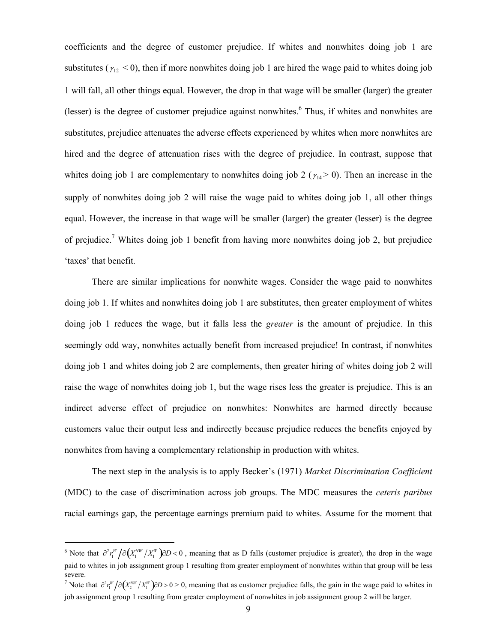coefficients and the degree of customer prejudice. If whites and nonwhites doing job 1 are substitutes ( $\gamma_{12}$  < 0), then if more nonwhites doing job 1 are hired the wage paid to whites doing job 1 will fall, all other things equal. However, the drop in that wage will be smaller (larger) the greater (lesser) is the degree of customer prejudice against nonwhites.<sup>6</sup> Thus, if whites and nonwhites are substitutes, prejudice attenuates the adverse effects experienced by whites when more nonwhites are hired and the degree of attenuation rises with the degree of prejudice. In contrast, suppose that whites doing job 1 are complementary to nonwhites doing job 2 ( $\gamma_{14}$  > 0). Then an increase in the supply of nonwhites doing job 2 will raise the wage paid to whites doing job 1, all other things equal. However, the increase in that wage will be smaller (larger) the greater (lesser) is the degree of prejudice.<sup>7</sup> Whites doing job 1 benefit from having more nonwhites doing job 2, but prejudice 'taxes' that benefit.

There are similar implications for nonwhite wages. Consider the wage paid to nonwhites doing job 1. If whites and nonwhites doing job 1 are substitutes, then greater employment of whites doing job 1 reduces the wage, but it falls less the *greater* is the amount of prejudice. In this seemingly odd way, nonwhites actually benefit from increased prejudice! In contrast, if nonwhites doing job 1 and whites doing job 2 are complements, then greater hiring of whites doing job 2 will raise the wage of nonwhites doing job 1, but the wage rises less the greater is prejudice. This is an indirect adverse effect of prejudice on nonwhites: Nonwhites are harmed directly because customers value their output less and indirectly because prejudice reduces the benefits enjoyed by nonwhites from having a complementary relationship in production with whites.

The next step in the analysis is to apply Becker's (1971) *Market Discrimination Coefficient*  (MDC) to the case of discrimination across job groups. The MDC measures the *ceteris paribus* racial earnings gap, the percentage earnings premium paid to whites. Assume for the moment that

-

<sup>&</sup>lt;sup>6</sup> Note that  $\partial^2 r_1^W / \partial (X_1^N / X_1^W) \partial D < 0$ , meaning that as D falls (customer prejudice is greater), the drop in the wage paid to whites in job assignment group 1 resulting from greater employment of nonwhites within that group will be less severe.

<sup>&</sup>lt;sup>7</sup> Note that  $\partial^2 r_1^W / \partial (X_2^{NW}/X_1^W)$  $\partial D > 0 > 0$ , meaning that as customer prejudice falls, the gain in the wage paid to whites in job assignment group 1 resulting from greater employment of nonwhites in job assignment group 2 will be larger.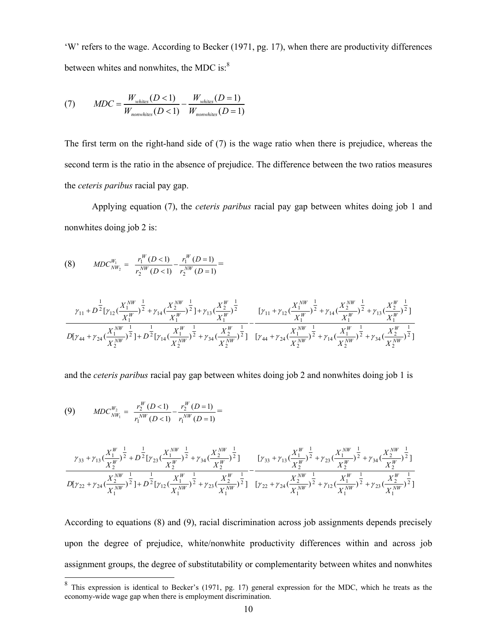'W' refers to the wage. According to Becker (1971, pg. 17), when there are productivity differences between whites and nonwhites, the MDC is: $8<sup>8</sup>$ 

(7) 
$$
MDC = \frac{W_{whites}(D < 1)}{W_{nonwhites}(D < 1)} - \frac{W_{whites}(D = 1)}{W_{nonwhites}(D = 1)}
$$

The first term on the right-hand side of (7) is the wage ratio when there is prejudice, whereas the second term is the ratio in the absence of prejudice. The difference between the two ratios measures the *ceteris paribus* racial pay gap.

Applying equation (7), the *ceteris paribus* racial pay gap between whites doing job 1 and nonwhites doing job 2 is:

$$
(8) \qquad MDC_{NW_2}^{W_1} = \frac{r_1^W(D < 1)}{r_2^{NW}(D < 1)} - \frac{r_1^W(D = 1)}{r_2^{NW}(D = 1)} =
$$

$$
\frac{\gamma_{11}+D^{\frac{1}{2}}[\gamma_{12}(\frac{X_1^{NW}}{X_1^{W}})^{\frac{1}{2}}+\gamma_{14}(\frac{X_2^{NW}}{X_1^{W}})^{\frac{1}{2}}]+\gamma_{13}(\frac{X_2^{W}}{X_1^{W}})^{\frac{1}{2}}}{D[\gamma_{44}+\gamma_{24}(\frac{X_1^{NW}}{X_2^{NW}})^{\frac{1}{2}}]+D^{\frac{1}{2}}[\gamma_{14}(\frac{X_1^{W}}{X_2^{NW}})^{\frac{1}{2}}+\gamma_{34}(\frac{X_2^{W}}{X_2^{NW}})^{\frac{1}{2}}]-[\gamma_{44}+\gamma_{24}(\frac{X_1^{NW}}{X_2^{NW}})^{\frac{1}{2}}+\gamma_{14}(\frac{X_1^{W}}{X_2^{NW}})^{\frac{1}{2}}+\gamma_{34}(\frac{X_1^{W}}{X_2^{NW}})^{\frac{1}{2}}]}\\-\frac{[\gamma_{11}+\gamma_{12}(\frac{X_1^{NW}}{X_1^{W}})^{\frac{1}{2}}+\gamma_{14}(\frac{X_2^{W}}{X_1^{W}})^{\frac{1}{2}}+\gamma_{13}(\frac{X_2^{W}}{X_2^{NW}})^{\frac{1}{2}}]}{[\gamma_{44}+\gamma_{24}(\frac{X_1^{NW}}{X_2^{NW}})^{\frac{1}{2}}+\gamma_{14}(\frac{X_1^{W}}{X_2^{NW}})^{\frac{1}{2}}+\gamma_{34}(\frac{X_2^{W}}{X_2^{NW}})^{\frac{1}{2}}]}\\
$$

and the *ceteris paribus* racial pay gap between whites doing job 2 and nonwhites doing job 1 is

(9) 
$$
MDC_{NW_1}^{W_2} = \frac{r_2^W(D<1)}{r_1^{NW}(D<1)} - \frac{r_2^W(D=1)}{r_1^{NW}(D=1)} =
$$

-

$$
\frac{\gamma_{33}+\gamma_{13}(\frac{X_1^W}{X_2^W})^{\tfrac{1}{2}}+D^{\tfrac{1}{2}}[\gamma_{23}(\frac{X_1^{NW}}{X_2^W})^{\tfrac{1}{2}}+\gamma_{34}(\frac{X_2^{NW}}{X_2^W})^{\tfrac{1}{2}}]}{D[\gamma_{22}+\gamma_{24}(\frac{X_2^{NW}}{X_1^{NW}})^{\tfrac{1}{2}}]+D^{\tfrac{1}{2}}[\gamma_{12}(\frac{X_1^W}{X_1^W})^{\tfrac{1}{2}}+\gamma_{23}(\frac{X_2^W}{X_1^W})^{\tfrac{1}{2}}]}-\frac{[\gamma_{33}+\gamma_{13}(\frac{X_1^W}{X_2^W})^{\tfrac{1}{2}}+\gamma_{23}(\frac{X_1^{NW}}{X_2^W})^{\tfrac{1}{2}}+\gamma_{34}(\frac{X_2^{NW}}{X_2^W})^{\tfrac{1}{2}}]}{[\gamma_{22}+\gamma_{24}(\frac{X_2^{NW}}{X_1^{NW}})^{\tfrac{1}{2}}+\gamma_{12}(\frac{X_1^W}{X_1^{NW}})^{\tfrac{1}{2}}+\gamma_{23}(\frac{X_2^W}{X_1^{NW}})^{\tfrac{1}{2}}]}]
$$

According to equations (8) and (9), racial discrimination across job assignments depends precisely upon the degree of prejudice, white/nonwhite productivity differences within and across job assignment groups, the degree of substitutability or complementarity between whites and nonwhites

 $8$  This expression is identical to Becker's (1971, pg. 17) general expression for the MDC, which he treats as the economy-wide wage gap when there is employment discrimination.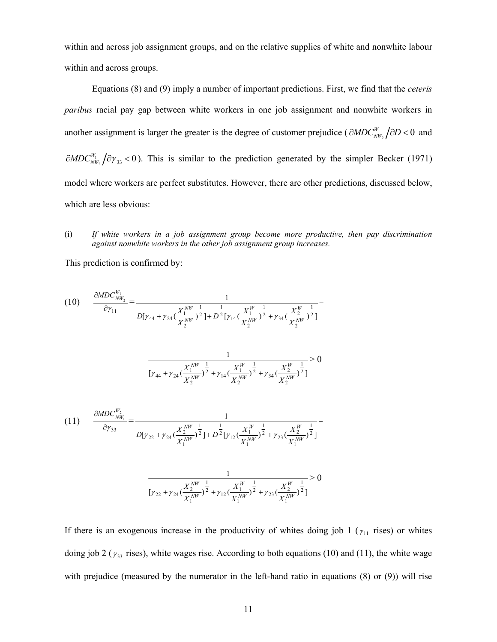within and across job assignment groups, and on the relative supplies of white and nonwhite labour within and across groups.

Equations (8) and (9) imply a number of important predictions. First, we find that the *ceteris paribus* racial pay gap between white workers in one job assignment and nonwhite workers in another assignment is larger the greater is the degree of customer prejudice ( $\partial MDC_{NW_2}^{W_1}/\partial D < 0$  and  $\partial MDC_{NN_2}^{W_1}/\partial \gamma_{33}$  < 0). This is similar to the prediction generated by the simpler Becker (1971) model where workers are perfect substitutes. However, there are other predictions, discussed below, which are less obvious:

(i) *If white workers in a job assignment group become more productive, then pay discrimination against nonwhite workers in the other job assignment group increases.* 

This prediction is confirmed by:

$$
(10) \frac{\partial MDC_{NW_1}^{W_1}}{\partial \gamma_{11}} = \frac{1}{D[\gamma_{44} + \gamma_{24} (\frac{X_1^{NW}}{X_2^{NW}})^{\frac{1}{2}}] + D^{\frac{1}{2}}[\gamma_{14} (\frac{X_1^{W}}{X_2^{NW}})^{\frac{1}{2}} + \gamma_{34} (\frac{X_2^{W}}{X_2^{NW}})^{\frac{1}{2}}]}
$$
  

$$
\frac{1}{[\gamma_{44} + \gamma_{24} (\frac{X_1^{NW}}{X_2^{NW}})^{\frac{1}{2}} + \gamma_{14} (\frac{X_1^{W}}{X_2^{NW}})^{\frac{1}{2}} + \gamma_{34} (\frac{X_2^{W}}{X_2^{NW}})^{\frac{1}{2}}]}} > 0
$$
  

$$
(11) \frac{\partial MDC_{NW_1}^{W_2}}{\partial \gamma_{33}} = \frac{1}{D[\gamma_{22} + \gamma_{24} (\frac{X_2^{NW}}{X_1^{NW}})^{\frac{1}{2}}] + D^{\frac{1}{2}}[\gamma_{12} (\frac{X_1^{W}}{X_1^{NW}})^{\frac{1}{2}} + \gamma_{23} (\frac{X_2^{W}}{X_1^{NW}})^{\frac{1}{2}}]}
$$
  

$$
\frac{1}{[\gamma_{22} + \gamma_{24} (\frac{X_2^{NW}}{X_1^{NW}})^{\frac{1}{2}} + \gamma_{12} (\frac{X_1^{W}}{X_1^{NW}})^{\frac{1}{2}} + \gamma_{23} (\frac{X_2^{W}}{X_1^{NW}})^{\frac{1}{2}}]} > 0
$$

If there is an exogenous increase in the productivity of whites doing job 1 ( $\gamma_{11}$  rises) or whites doing job 2 ( $\gamma_{33}$  rises), white wages rise. According to both equations (10) and (11), the white wage with prejudice (measured by the numerator in the left-hand ratio in equations  $(8)$  or  $(9)$ ) will rise

1

1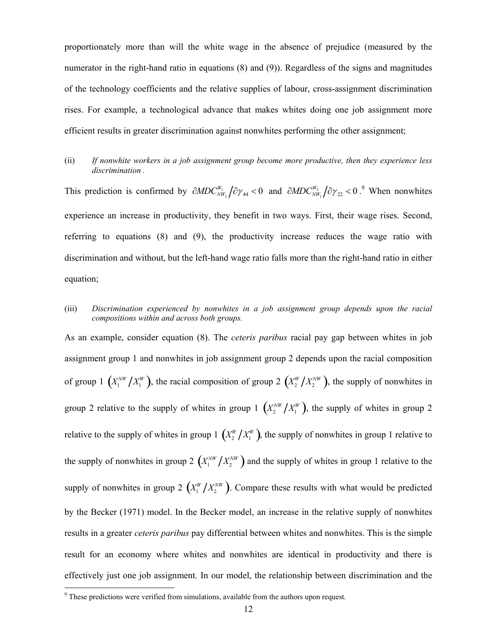proportionately more than will the white wage in the absence of prejudice (measured by the numerator in the right-hand ratio in equations (8) and (9)). Regardless of the signs and magnitudes of the technology coefficients and the relative supplies of labour, cross-assignment discrimination rises. For example, a technological advance that makes whites doing one job assignment more efficient results in greater discrimination against nonwhites performing the other assignment;

# (ii) *If nonwhite workers in a job assignment group become more productive, then they experience less discrimination .*

This prediction is confirmed by  $\partial MDC_{NW_2}^{W_1}/\partial \gamma_{44} < 0$  and  $\partial MDC_{NW_1}^{W_2}/\partial \gamma_{22} < 0$ .<sup>9</sup> When nonwhites experience an increase in productivity, they benefit in two ways. First, their wage rises. Second, referring to equations (8) and (9), the productivity increase reduces the wage ratio with discrimination and without, but the left-hand wage ratio falls more than the right-hand ratio in either equation;

## (iii) *Discrimination experienced by nonwhites in a job assignment group depends upon the racial compositions within and across both groups.*

As an example, consider equation (8). The *ceteris paribus* racial pay gap between whites in job assignment group 1 and nonwhites in job assignment group 2 depends upon the racial composition of group 1  $(X_1^N / X_1^W)$ , the racial composition of group 2  $(X_2^W / X_2^W)$ , the supply of nonwhites in group 2 relative to the supply of whites in group 1  $(X_2^N / X_1^W)$ , the supply of whites in group 2 relative to the supply of whites in group  $\frac{1}{X_2^w}$   $\left(\frac{X_2^w}{X_1^w}\right)$ , the supply of nonwhites in group 1 relative to the supply of nonwhites in group 2  $(X_1^{NW}/X_2^{NW})$  and the supply of whites in group 1 relative to the supply of nonwhites in group 2  $\left(X_1^W/X_2^W\right)$ . Compare these results with what would be predicted by the Becker (1971) model. In the Becker model, an increase in the relative supply of nonwhites results in a greater *ceteris paribus* pay differential between whites and nonwhites. This is the simple result for an economy where whites and nonwhites are identical in productivity and there is effectively just one job assignment. In our model, the relationship between discrimination and the

-

<sup>&</sup>lt;sup>9</sup> These predictions were verified from simulations, available from the authors upon request.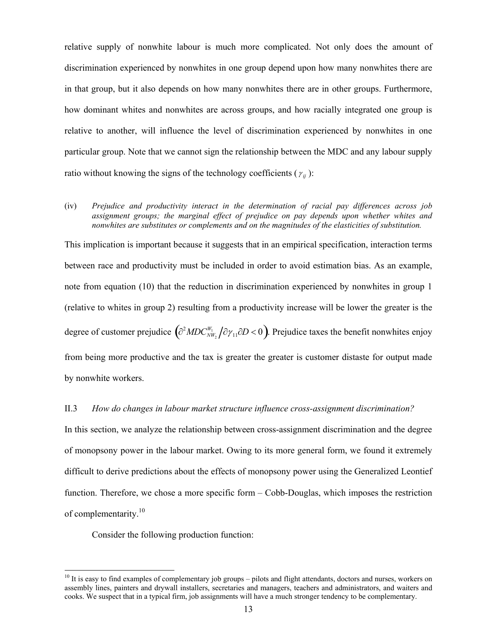relative supply of nonwhite labour is much more complicated. Not only does the amount of discrimination experienced by nonwhites in one group depend upon how many nonwhites there are in that group, but it also depends on how many nonwhites there are in other groups. Furthermore, how dominant whites and nonwhites are across groups, and how racially integrated one group is relative to another, will influence the level of discrimination experienced by nonwhites in one particular group. Note that we cannot sign the relationship between the MDC and any labour supply ratio without knowing the signs of the technology coefficients ( $\gamma_{ii}$ ):

(iv) *Prejudice and productivity interact in the determination of racial pay differences across job assignment groups; the marginal effect of prejudice on pay depends upon whether whites and nonwhites are substitutes or complements and on the magnitudes of the elasticities of substitution.*

This implication is important because it suggests that in an empirical specification, interaction terms between race and productivity must be included in order to avoid estimation bias. As an example, note from equation (10) that the reduction in discrimination experienced by nonwhites in group 1 (relative to whites in group 2) resulting from a productivity increase will be lower the greater is the degree of customer prejudice  $\left(\partial^2 MDC^{W_1}_{NH_2}/\partial \gamma_{11}\partial D < 0\right)$ . Prejudice taxes the benefit nonwhites enjoy from being more productive and the tax is greater the greater is customer distaste for output made by nonwhite workers.

## II.3 *How do changes in labour market structure influence cross-assignment discrimination?*

In this section, we analyze the relationship between cross-assignment discrimination and the degree of monopsony power in the labour market. Owing to its more general form, we found it extremely difficult to derive predictions about the effects of monopsony power using the Generalized Leontief function. Therefore, we chose a more specific form – Cobb-Douglas, which imposes the restriction of complementarity. $10$ 

Consider the following production function:

-

<sup>&</sup>lt;sup>10</sup> It is easy to find examples of complementary job groups – pilots and flight attendants, doctors and nurses, workers on assembly lines, painters and drywall installers, secretaries and managers, teachers and administrators, and waiters and cooks. We suspect that in a typical firm, job assignments will have a much stronger tendency to be complementary.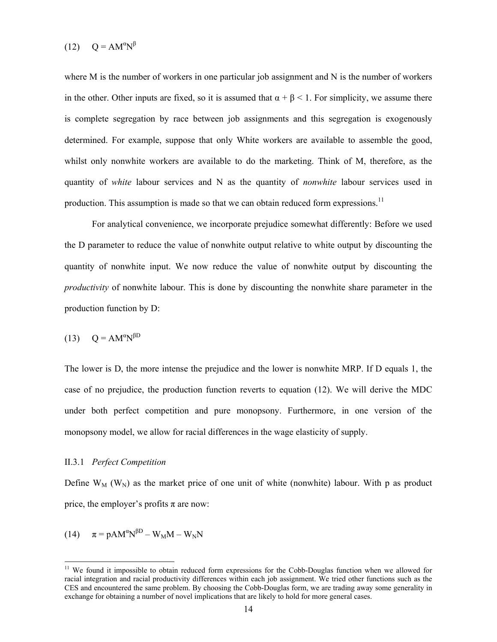# (12)  $Q = AM^{\alpha}N^{\beta}$

where M is the number of workers in one particular job assignment and N is the number of workers in the other. Other inputs are fixed, so it is assumed that  $\alpha + \beta < 1$ . For simplicity, we assume there is complete segregation by race between job assignments and this segregation is exogenously determined. For example, suppose that only White workers are available to assemble the good, whilst only nonwhite workers are available to do the marketing. Think of M, therefore, as the quantity of *white* labour services and N as the quantity of *nonwhite* labour services used in production. This assumption is made so that we can obtain reduced form expressions.<sup>11</sup>

For analytical convenience, we incorporate prejudice somewhat differently: Before we used the D parameter to reduce the value of nonwhite output relative to white output by discounting the quantity of nonwhite input. We now reduce the value of nonwhite output by discounting the *productivity* of nonwhite labour. This is done by discounting the nonwhite share parameter in the production function by D:

(13) 
$$
Q = AM^{\alpha}N^{\beta D}
$$

The lower is D, the more intense the prejudice and the lower is nonwhite MRP. If D equals 1, the case of no prejudice, the production function reverts to equation (12). We will derive the MDC under both perfect competition and pure monopsony. Furthermore, in one version of the monopsony model, we allow for racial differences in the wage elasticity of supply.

#### II.3.1 *Perfect Competition*

-

Define  $W_M$  ( $W_N$ ) as the market price of one unit of white (nonwhite) labour. With p as product price, the employer's profits  $\pi$  are now:

$$
(14) \qquad \pi = pAM^{\alpha}N^{\beta D} - W_MM - W_NN
$$

<sup>&</sup>lt;sup>11</sup> We found it impossible to obtain reduced form expressions for the Cobb-Douglas function when we allowed for racial integration and racial productivity differences within each job assignment. We tried other functions such as the CES and encountered the same problem. By choosing the Cobb-Douglas form, we are trading away some generality in exchange for obtaining a number of novel implications that are likely to hold for more general cases.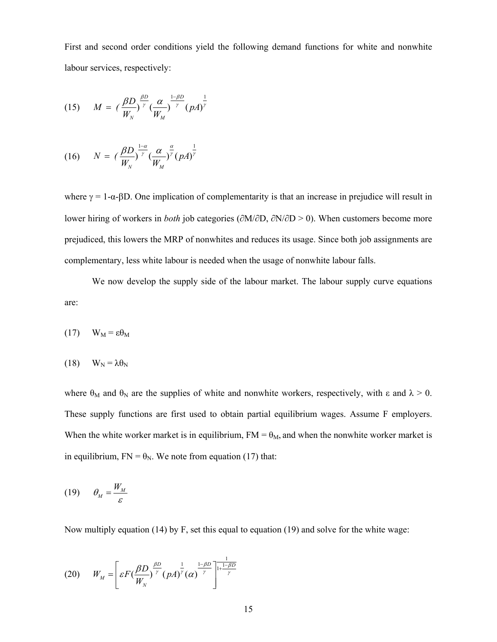First and second order conditions yield the following demand functions for white and nonwhite labour services, respectively:

$$
(15) \qquad M = \left(\frac{\beta D}{W_N}\right)^{\frac{\beta D}{\gamma}} \left(\frac{\alpha}{W_M}\right)^{\frac{1-\beta D}{\gamma}} \left(pA\right)^{\frac{1}{\gamma}}
$$

$$
(16) \qquad N = \left(\frac{\beta D}{W_N}\right)^{\frac{1-\alpha}{\gamma}}\left(\frac{\alpha}{W_M}\right)^{\frac{\alpha}{\gamma}}\left(pA\right)^{\frac{1}{\gamma}}
$$

where  $\gamma = 1 - \alpha - \beta D$ . One implication of complementarity is that an increase in prejudice will result in lower hiring of workers in *both* job categories (∂M/∂D, ∂N/∂D > 0). When customers become more prejudiced, this lowers the MRP of nonwhites and reduces its usage. Since both job assignments are complementary, less white labour is needed when the usage of nonwhite labour falls.

We now develop the supply side of the labour market. The labour supply curve equations are:

$$
(17) \tW_M = \varepsilon \theta_M
$$

$$
(18) \qquad W_N = \lambda \theta_N
$$

where  $\theta_M$  and  $\theta_N$  are the supplies of white and nonwhite workers, respectively, with  $\varepsilon$  and  $\lambda > 0$ . These supply functions are first used to obtain partial equilibrium wages. Assume F employers. When the white worker market is in equilibrium,  $FM = \theta_M$ , and when the nonwhite worker market is in equilibrium,  $FN = \theta_N$ . We note from equation (17) that:

$$
(19) \qquad \theta_M = \frac{W_M}{\varepsilon}
$$

Now multiply equation (14) by F, set this equal to equation (19) and solve for the white wage:

$$
(20) \qquad W_M = \left[\varepsilon F \left(\frac{\beta D}{W_N}\right)^{\frac{\beta D}{\gamma}} \left(pA\right)^{\frac{1}{\gamma}} \left(\alpha\right)^{\frac{1-\beta D}{\gamma}}\right]^{\frac{1}{1+\frac{1-\beta D}{\gamma}}}
$$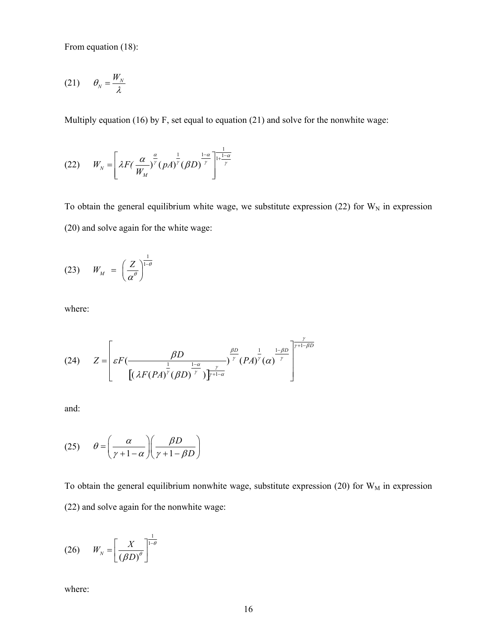From equation (18):

$$
(21) \qquad \theta_N = \frac{W_N}{\lambda}
$$

Multiply equation (16) by F, set equal to equation (21) and solve for the nonwhite wage:

$$
(22) \qquad W_N = \left[ \lambda F \left( \frac{\alpha}{W_M} \right)^{\frac{\alpha}{\gamma}} (pA)^{\frac{1}{\gamma}} (\beta D)^{\frac{1-\alpha}{\gamma}} \right]^{\frac{1}{1+\frac{1-\alpha}{\gamma}}}
$$

To obtain the general equilibrium white wage, we substitute expression (22) for  $W_N$  in expression (20) and solve again for the white wage:

$$
(23) \qquad W_M = \left(\frac{Z}{\alpha^{\theta}}\right)^{\frac{1}{1-\theta}}
$$

where:

$$
(24) \qquad Z = \left[ \varepsilon F \left( \frac{\beta D}{\left[ (\lambda F (P A)^{\gamma} (\beta D)^{\gamma} \right) \right]^{\frac{1-\alpha}{\gamma}} \sqrt{\frac{1}{\gamma} (\beta A)^{\gamma}} (\alpha)^{\frac{1-\beta D}{\gamma}} } \right]^{\frac{\gamma}{\gamma+1-\beta D}}
$$

and:

(25) 
$$
\theta = \left(\frac{\alpha}{\gamma + 1 - \alpha}\right) \left(\frac{\beta D}{\gamma + 1 - \beta D}\right)
$$

To obtain the general equilibrium nonwhite wage, substitute expression (20) for  $W_M$  in expression (22) and solve again for the nonwhite wage:

$$
(26) \qquad W_N = \left[\frac{X}{\left(\beta D\right)^{\theta}}\right]^{\frac{1}{1-\theta}}
$$

where: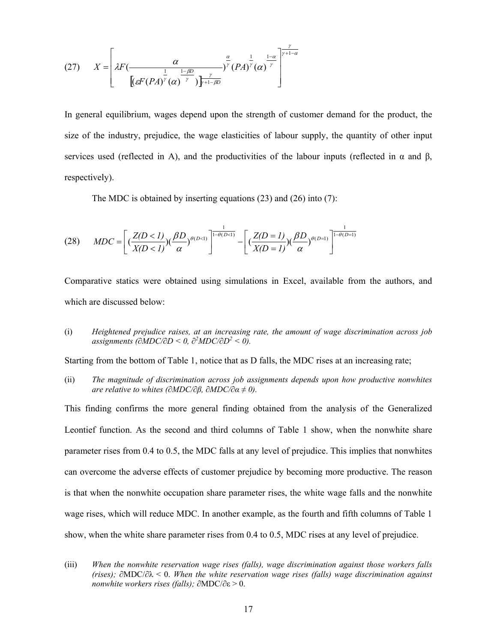(27) 
$$
X = \left[\lambda F\left(\frac{\alpha}{\left(\varepsilon F\left(PA\right)^{\gamma}\left(\alpha\right)^{-\gamma}\right)}\right)^{\frac{\alpha}{\gamma}}\left(PA\right)^{\frac{1-\alpha}{\gamma}}\right]^{\frac{\gamma}{\gamma+1-\alpha}}
$$

In general equilibrium, wages depend upon the strength of customer demand for the product, the size of the industry, prejudice, the wage elasticities of labour supply, the quantity of other input services used (reflected in A), and the productivities of the labour inputs (reflected in  $\alpha$  and  $\beta$ , respectively).

The MDC is obtained by inserting equations (23) and (26) into (7):

(28) 
$$
MDC = \left[ \left( \frac{Z(D < I)}{X(D < I)} \right) \left( \frac{\beta D}{\alpha} \right)^{\theta(D < I)} \right]^{\frac{1}{1 - \theta(D < I)}} - \left[ \left( \frac{Z(D = I)}{X(D = I)} \right) \left( \frac{\beta D}{\alpha} \right)^{\theta(D = I)} \right]^{\frac{1}{1 - \theta(D = I)}}
$$

Comparative statics were obtained using simulations in Excel, available from the authors, and which are discussed below:

(i) *Heightened prejudice raises, at an increasing rate, the amount of wage discrimination across job assignments (∂MDC/∂D < 0, ∂<sup>2</sup> MDC/∂D<sup>2</sup> < 0).* 

Starting from the bottom of Table 1, notice that as D falls, the MDC rises at an increasing rate;

(ii) *The magnitude of discrimination across job assignments depends upon how productive nonwhites are relative to whites (∂MDC/∂β, ∂MDC/∂α ≠ 0).* 

This finding confirms the more general finding obtained from the analysis of the Generalized Leontief function. As the second and third columns of Table 1 show, when the nonwhite share parameter rises from 0.4 to 0.5, the MDC falls at any level of prejudice. This implies that nonwhites can overcome the adverse effects of customer prejudice by becoming more productive. The reason is that when the nonwhite occupation share parameter rises, the white wage falls and the nonwhite wage rises, which will reduce MDC. In another example, as the fourth and fifth columns of Table 1 show, when the white share parameter rises from 0.4 to 0.5, MDC rises at any level of prejudice.

(iii) *When the nonwhite reservation wage rises (falls), wage discrimination against those workers falls (rises);* ∂MDC/∂λ < 0. *When the white reservation wage rises (falls) wage discrimination against nonwhite workers rises (falls);* ∂MDC/∂ε > 0.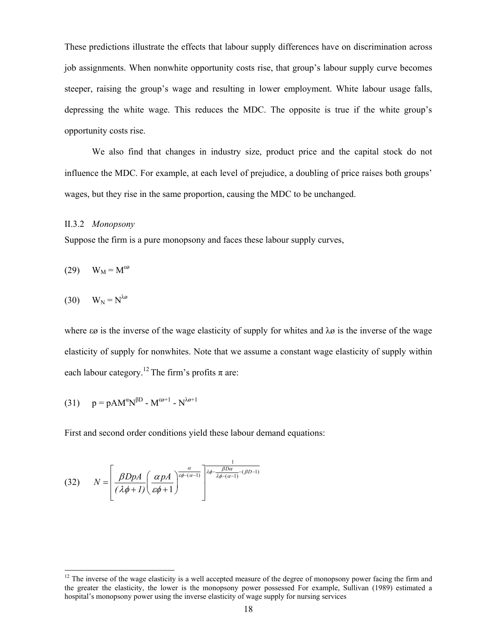These predictions illustrate the effects that labour supply differences have on discrimination across job assignments. When nonwhite opportunity costs rise, that group's labour supply curve becomes steeper, raising the group's wage and resulting in lower employment. White labour usage falls, depressing the white wage. This reduces the MDC. The opposite is true if the white group's opportunity costs rise.

We also find that changes in industry size, product price and the capital stock do not influence the MDC. For example, at each level of prejudice, a doubling of price raises both groups' wages, but they rise in the same proportion, causing the MDC to be unchanged.

#### II.3.2 *Monopsony*

Suppose the firm is a pure monopsony and faces these labour supply curves,

- (29)  $W_M = M^{\epsilon \omega}$
- (30)  $W_N = N^{\lambda \omega}$

 $\overline{a}$ 

where  $\epsilon \omega$  is the inverse of the wage elasticity of supply for whites and  $\lambda \omega$  is the inverse of the wage elasticity of supply for nonwhites. Note that we assume a constant wage elasticity of supply within each labour category.<sup>12</sup> The firm's profits  $\pi$  are:

$$
(31) \quad p = pAM^{\alpha}N^{\beta D} - M^{\epsilon\omega+1} - N^{\lambda\omega+1}
$$

First and second order conditions yield these labour demand equations:

(32) 
$$
N = \left[\frac{\beta D p A}{(\lambda \phi + I)} \left(\frac{\alpha p A}{\varepsilon \phi + 1}\right)^{\frac{\alpha}{\varepsilon \phi - (\alpha - 1)}} \right]^{\frac{1}{\lambda \phi - \frac{\beta D \alpha}{\lambda \phi - (\alpha - 1)} - (\beta D - 1)}}
$$

 $12$  The inverse of the wage elasticity is a well accepted measure of the degree of monopsony power facing the firm and the greater the elasticity, the lower is the monopsony power possessed For example, Sullivan (1989) estimated a hospital's monopsony power using the inverse elasticity of wage supply for nursing services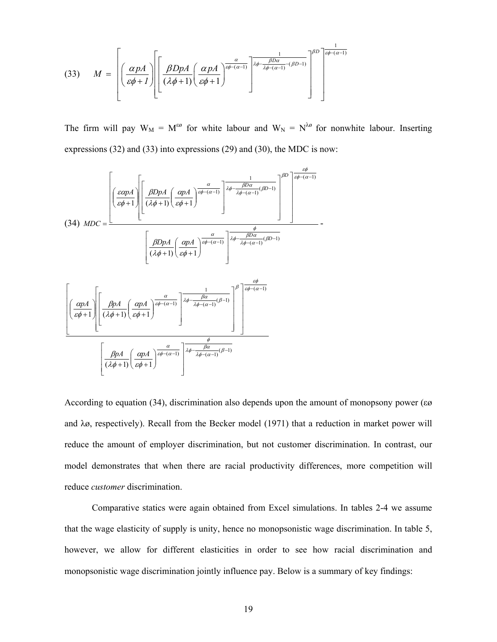$$
(33) \qquad M = \left[ \left( \frac{\alpha p A}{\varepsilon \phi + 1} \right) \left[ \left[ \frac{\beta D p A}{\varepsilon \phi + 1} \left( \frac{\alpha p A}{\varepsilon \phi + 1} \right)^{\frac{\alpha}{\varepsilon \phi - (\alpha - 1)}} \right]^{ \frac{1}{\lambda \phi - \frac{\beta D \alpha}{\lambda \phi - (\alpha - 1)}} - (\beta D - 1)} \right]^{\beta D} \right]^{\frac{1}{\varepsilon \phi - (\alpha - 1)}}
$$

The firm will pay  $W_M = M^{\epsilon\omega}$  for white labour and  $W_N = N^{\lambda\omega}$  for nonwhite labour. Inserting expressions (32) and (33) into expressions (29) and (30), the MDC is now:

$$
(34) \, MDC = \frac{\left[\left(\frac{\varepsilon \alpha pA}{\varepsilon \phi + 1}\right) \left[\frac{\beta D pA}{(\lambda \phi + 1)} \left(\frac{\alpha pA}{\varepsilon \phi + 1}\right)^{\frac{\alpha}{\varepsilon \phi - (\alpha - 1)}}\right]^{\frac{1}{\lambda \phi - \frac{\beta D \alpha}{\lambda \phi - (\alpha - 1)}}(\beta D - 1)}\right]^{\beta D}}{\left[\frac{\beta D pA}{(\lambda \phi + 1)} \left(\frac{\alpha pA}{\varepsilon \phi + 1}\right)^{\frac{\alpha}{\varepsilon \phi - (\alpha - 1)}}\right]^{\frac{\phi}{\lambda \phi - \frac{\beta D \alpha}{\lambda \phi - (\alpha - 1)}}(\beta D - 1)}}\right]
$$
\n
$$
\left[\frac{\alpha pA}{\varepsilon \phi + 1}\right] \left[\frac{\beta pA}{(\lambda \phi + 1)} \left(\frac{\alpha pA}{\varepsilon \phi + 1}\right)^{\frac{\alpha}{\varepsilon \phi - (\alpha - 1)}}\right]^{\frac{1}{\lambda \phi - \frac{\beta \alpha}{\lambda \phi - (\alpha - 1)}}(\beta - 1)}\right]^{\beta}\right]^{\frac{\varepsilon \phi}{\varepsilon \phi - (\alpha - 1)}}
$$
\n
$$
\left[\frac{\beta pA}{(\lambda \phi + 1)} \left(\frac{\alpha pA}{\varepsilon \phi + 1}\right)^{\frac{\alpha}{\varepsilon \phi - (\alpha - 1)}}\right]^{\frac{\phi}{\lambda \phi - \frac{\beta \alpha}{\lambda \phi - (\alpha - 1)}}(\beta - 1)}
$$

According to equation (34), discrimination also depends upon the amount of monopsony power (εø and λø, respectively). Recall from the Becker model (1971) that a reduction in market power will reduce the amount of employer discrimination, but not customer discrimination. In contrast, our model demonstrates that when there are racial productivity differences, more competition will reduce *customer* discrimination.

Comparative statics were again obtained from Excel simulations. In tables 2-4 we assume that the wage elasticity of supply is unity, hence no monopsonistic wage discrimination. In table 5, however, we allow for different elasticities in order to see how racial discrimination and monopsonistic wage discrimination jointly influence pay. Below is a summary of key findings: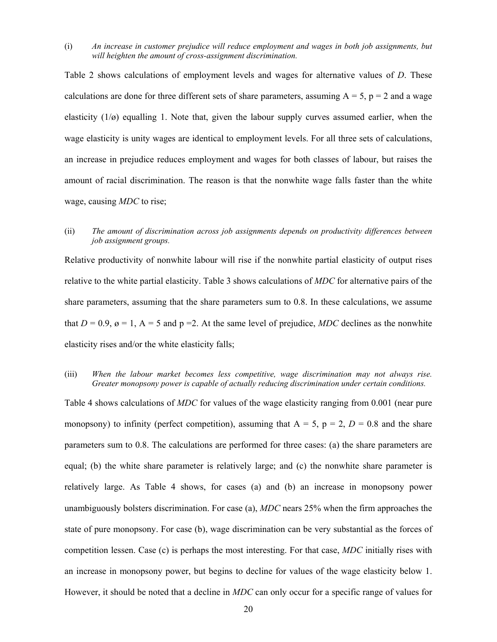(i) *An increase in customer prejudice will reduce employment and wages in both job assignments, but will heighten the amount of cross-assignment discrimination.*

Table 2 shows calculations of employment levels and wages for alternative values of *D*. These calculations are done for three different sets of share parameters, assuming  $A = 5$ ,  $p = 2$  and a wage elasticity  $(1/\varnothing)$  equalling 1. Note that, given the labour supply curves assumed earlier, when the wage elasticity is unity wages are identical to employment levels. For all three sets of calculations, an increase in prejudice reduces employment and wages for both classes of labour, but raises the amount of racial discrimination. The reason is that the nonwhite wage falls faster than the white wage, causing *MDC* to rise;

## (ii) *The amount of discrimination across job assignments depends on productivity differences between job assignment groups.*

Relative productivity of nonwhite labour will rise if the nonwhite partial elasticity of output rises relative to the white partial elasticity. Table 3 shows calculations of *MDC* for alternative pairs of the share parameters, assuming that the share parameters sum to 0.8. In these calculations, we assume that  $D = 0.9$ ,  $\varnothing = 1$ ,  $A = 5$  and  $p = 2$ . At the same level of prejudice, *MDC* declines as the nonwhite elasticity rises and/or the white elasticity falls;

#### (iii) *When the labour market becomes less competitive, wage discrimination may not always rise. Greater monopsony power is capable of actually reducing discrimination under certain conditions.*

Table 4 shows calculations of *MDC* for values of the wage elasticity ranging from 0.001 (near pure monopsony) to infinity (perfect competition), assuming that  $A = 5$ ,  $p = 2$ ,  $D = 0.8$  and the share parameters sum to 0.8. The calculations are performed for three cases: (a) the share parameters are equal; (b) the white share parameter is relatively large; and (c) the nonwhite share parameter is relatively large. As Table 4 shows, for cases (a) and (b) an increase in monopsony power unambiguously bolsters discrimination. For case (a), *MDC* nears 25% when the firm approaches the state of pure monopsony. For case (b), wage discrimination can be very substantial as the forces of competition lessen. Case (c) is perhaps the most interesting. For that case, *MDC* initially rises with an increase in monopsony power, but begins to decline for values of the wage elasticity below 1. However, it should be noted that a decline in *MDC* can only occur for a specific range of values for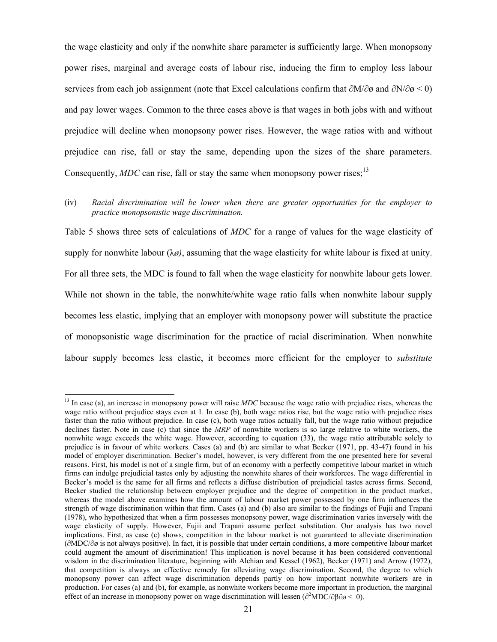the wage elasticity and only if the nonwhite share parameter is sufficiently large. When monopsony power rises, marginal and average costs of labour rise, inducing the firm to employ less labour services from each job assignment (note that Excel calculations confirm that  $\partial M/\partial φ$  and  $\partial N/\partial φ < 0$ ) and pay lower wages. Common to the three cases above is that wages in both jobs with and without prejudice will decline when monopsony power rises. However, the wage ratios with and without prejudice can rise, fall or stay the same, depending upon the sizes of the share parameters. Consequently, *MDC* can rise, fall or stay the same when monopsony power rises;<sup>13</sup>

## (iv) *Racial discrimination will be lower when there are greater opportunities for the employer to practice monopsonistic wage discrimination.*

Table 5 shows three sets of calculations of *MDC* for a range of values for the wage elasticity of supply for nonwhite labour (λ*ø)*, assuming that the wage elasticity for white labour is fixed at unity. For all three sets, the MDC is found to fall when the wage elasticity for nonwhite labour gets lower. While not shown in the table, the nonwhite/white wage ratio falls when nonwhite labour supply becomes less elastic, implying that an employer with monopsony power will substitute the practice of monopsonistic wage discrimination for the practice of racial discrimination. When nonwhite labour supply becomes less elastic, it becomes more efficient for the employer to *substitute*

-

<sup>&</sup>lt;sup>13</sup> In case (a), an increase in monopsony power will raise *MDC* because the wage ratio with prejudice rises, whereas the wage ratio without prejudice stays even at 1. In case (b), both wage ratios rise, but the wage ratio with prejudice rises faster than the ratio without prejudice. In case (c), both wage ratios actually fall, but the wage ratio without prejudice declines faster. Note in case (c) that since the *MRP* of nonwhite workers is so large relative to white workers, the nonwhite wage exceeds the white wage. However, according to equation (33), the wage ratio attributable solely to prejudice is in favour of white workers. Cases (a) and (b) are similar to what Becker (1971, pp. 43-47) found in his model of employer discrimination. Becker's model, however, is very different from the one presented here for several reasons. First, his model is not of a single firm, but of an economy with a perfectly competitive labour market in which firms can indulge prejudicial tastes only by adjusting the nonwhite shares of their workforces. The wage differential in Becker's model is the same for all firms and reflects a diffuse distribution of prejudicial tastes across firms. Second, Becker studied the relationship between employer prejudice and the degree of competition in the product market, whereas the model above examines how the amount of labour market power possessed by one firm influences the strength of wage discrimination within that firm. Cases (a) and (b) also are similar to the findings of Fujii and Trapani (1978), who hypothesized that when a firm possesses monopsony power, wage discrimination varies inversely with the wage elasticity of supply. However, Fujii and Trapani assume perfect substitution. Our analysis has two novel implications. First, as case (c) shows, competition in the labour market is not guaranteed to alleviate discrimination (∂MDC/∂ø is not always positive). In fact, it is possible that under certain conditions, a more competitive labour market could augment the amount of discrimination! This implication is novel because it has been considered conventional wisdom in the discrimination literature, beginning with Alchian and Kessel (1962), Becker (1971) and Arrow (1972), that competition is always an effective remedy for alleviating wage discrimination. Second, the degree to which monopsony power can affect wage discrimination depends partly on how important nonwhite workers are in production. For cases (a) and (b), for example, as nonwhite workers become more important in production, the marginal effect of an increase in monopsony power on wage discrimination will lessen ( $\partial^2 MDC/\partial \beta \partial \sigma < 0$ ).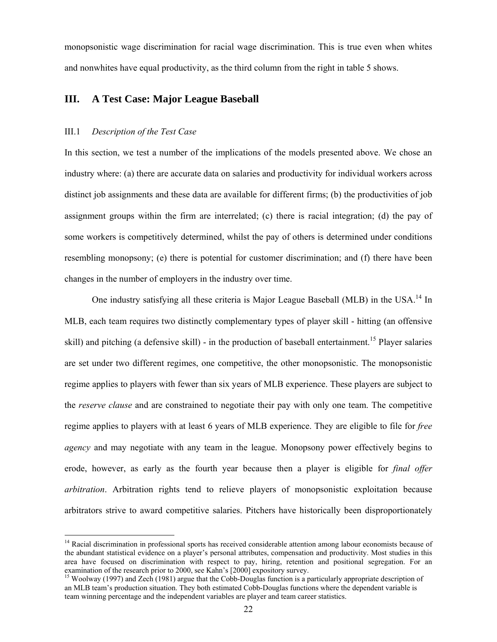monopsonistic wage discrimination for racial wage discrimination. This is true even when whites and nonwhites have equal productivity, as the third column from the right in table 5 shows.

# **III. A Test Case: Major League Baseball**

## III.1 *Description of the Test Case*

 $\overline{a}$ 

In this section, we test a number of the implications of the models presented above. We chose an industry where: (a) there are accurate data on salaries and productivity for individual workers across distinct job assignments and these data are available for different firms; (b) the productivities of job assignment groups within the firm are interrelated; (c) there is racial integration; (d) the pay of some workers is competitively determined, whilst the pay of others is determined under conditions resembling monopsony; (e) there is potential for customer discrimination; and (f) there have been changes in the number of employers in the industry over time.

One industry satisfying all these criteria is Major League Baseball (MLB) in the USA.<sup>14</sup> In MLB, each team requires two distinctly complementary types of player skill - hitting (an offensive skill) and pitching (a defensive skill) - in the production of baseball entertainment.<sup>15</sup> Player salaries are set under two different regimes, one competitive, the other monopsonistic. The monopsonistic regime applies to players with fewer than six years of MLB experience. These players are subject to the *reserve clause* and are constrained to negotiate their pay with only one team. The competitive regime applies to players with at least 6 years of MLB experience. They are eligible to file for *free agency* and may negotiate with any team in the league. Monopsony power effectively begins to erode, however, as early as the fourth year because then a player is eligible for *final offer arbitration*. Arbitration rights tend to relieve players of monopsonistic exploitation because arbitrators strive to award competitive salaries. Pitchers have historically been disproportionately

<sup>&</sup>lt;sup>14</sup> Racial discrimination in professional sports has received considerable attention among labour economists because of the abundant statistical evidence on a player's personal attributes, compensation and productivity. Most studies in this area have focused on discrimination with respect to pay, hiring, retention and positional segregation. For an examination of the research prior to 2000, see Kahn's [2000] expository survey.

<sup>&</sup>lt;sup>15</sup> Woolway (1997) and Zech (1981) argue that the Cobb-Douglas function is a particularly appropriate description of an MLB team's production situation. They both estimated Cobb-Douglas functions where the dependent variable is team winning percentage and the independent variables are player and team career statistics.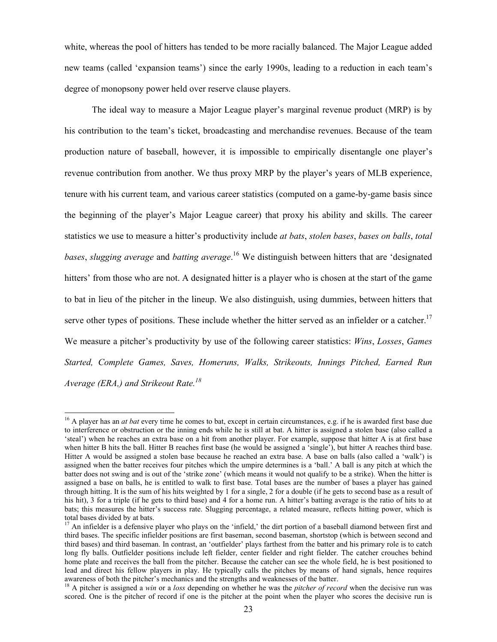white, whereas the pool of hitters has tended to be more racially balanced. The Major League added new teams (called 'expansion teams') since the early 1990s, leading to a reduction in each team's degree of monopsony power held over reserve clause players.

The ideal way to measure a Major League player's marginal revenue product (MRP) is by his contribution to the team's ticket, broadcasting and merchandise revenues. Because of the team production nature of baseball, however, it is impossible to empirically disentangle one player's revenue contribution from another. We thus proxy MRP by the player's years of MLB experience, tenure with his current team, and various career statistics (computed on a game-by-game basis since the beginning of the player's Major League career) that proxy his ability and skills. The career statistics we use to measure a hitter's productivity include *at bats*, *stolen bases*, *bases on balls*, *total bases*, *slugging average* and *batting average*. 16 We distinguish between hitters that are 'designated hitters' from those who are not. A designated hitter is a player who is chosen at the start of the game to bat in lieu of the pitcher in the lineup. We also distinguish, using dummies, between hitters that serve other types of positions. These include whether the hitter served as an infielder or a catcher.<sup>17</sup> We measure a pitcher's productivity by use of the following career statistics: *Wins*, *Losses*, *Games Started, Complete Games, Saves, Homeruns, Walks, Strikeouts, Innings Pitched, Earned Run Average (ERA,) and Strikeout Rate.18*

 $\overline{a}$ 

<sup>&</sup>lt;sup>16</sup> A player has an *at bat* every time he comes to bat, except in certain circumstances, e.g. if he is awarded first base due to interference or obstruction or the inning ends while he is still at bat. A hitter is assigned a stolen base (also called a 'steal') when he reaches an extra base on a hit from another player. For example, suppose that hitter A is at first base when hitter B hits the ball. Hitter B reaches first base (he would be assigned a 'single'), but hitter A reaches third base. Hitter A would be assigned a stolen base because he reached an extra base. A base on balls (also called a 'walk') is assigned when the batter receives four pitches which the umpire determines is a 'ball.' A ball is any pitch at which the batter does not swing and is out of the 'strike zone' (which means it would not qualify to be a strike). When the hitter is assigned a base on balls, he is entitled to walk to first base. Total bases are the number of bases a player has gained through hitting. It is the sum of his hits weighted by 1 for a single, 2 for a double (if he gets to second base as a result of his hit), 3 for a triple (if he gets to third base) and 4 for a home run. A hitter's batting average is the ratio of hits to at bats; this measures the hitter's success rate. Slugging percentage, a related measure, reflects hitting power, which is total bases divided by at bats.

An infielder is a defensive player who plays on the 'infield,' the dirt portion of a baseball diamond between first and third bases. The specific infielder positions are first baseman, second baseman, shortstop (which is between second and third bases) and third baseman. In contrast, an 'outfielder' plays farthest from the batter and his primary role is to catch long fly balls. Outfielder positions include left fielder, center fielder and right fielder. The catcher crouches behind home plate and receives the ball from the pitcher. Because the catcher can see the whole field, he is best positioned to lead and direct his fellow players in play. He typically calls the pitches by means of hand signals, hence requires awareness of both the pitcher's mechanics and the strengths and weaknesses of the batter.

<sup>&</sup>lt;sup>18</sup> A pitcher is assigned a *win* or a *loss* depending on whether he was the *pitcher of record* when the decisive run was scored. One is the pitcher of record if one is the pitcher at the point when the player who scores the decisive run is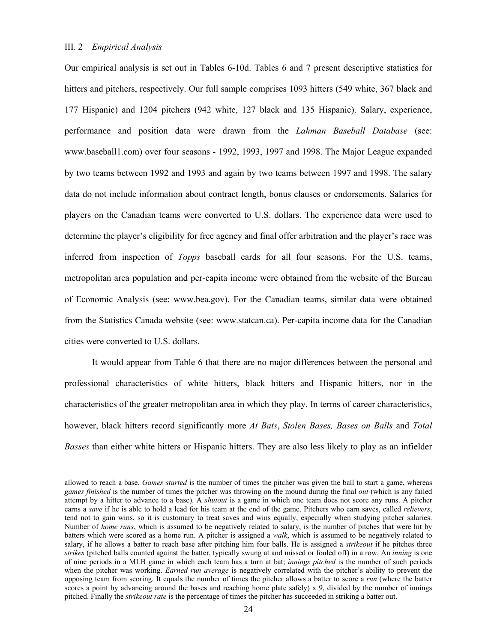#### III. 2 *Empirical Analysis*

Our empirical analysis is set out in Tables 6-10d. Tables 6 and 7 present descriptive statistics for hitters and pitchers, respectively. Our full sample comprises 1093 hitters (549 white, 367 black and 177 Hispanic) and 1204 pitchers (942 white, 127 black and 135 Hispanic). Salary, experience, performance and position data were drawn from the *Lahman Baseball Database* (see: www.baseball1.com) over four seasons - 1992, 1993, 1997 and 1998. The Major League expanded by two teams between 1992 and 1993 and again by two teams between 1997 and 1998. The salary data do not include information about contract length, bonus clauses or endorsements. Salaries for players on the Canadian teams were converted to U.S. dollars. The experience data were used to determine the player's eligibility for free agency and final offer arbitration and the player's race was inferred from inspection of *Topps* baseball cards for all four seasons. For the U.S. teams, metropolitan area population and per-capita income were obtained from the website of the Bureau of Economic Analysis (see: www.bea.gov). For the Canadian teams, similar data were obtained from the Statistics Canada website (see: www.statcan.ca). Per-capita income data for the Canadian cities were converted to U.S. dollars.

It would appear from Table 6 that there are no major differences between the personal and professional characteristics of white hitters, black hitters and Hispanic hitters, nor in the characteristics of the greater metropolitan area in which they play. In terms of career characteristics, however, black hitters record significantly more *At Bats*, *Stolen Bases, Bases on Balls* and *Total Basses* than either white hitters or Hispanic hitters. They are also less likely to play as an infielder

allowed to reach a base. *Games started* is the number of times the pitcher was given the ball to start a game, whereas *games finished* is the number of times the pitcher was throwing on the mound during the final *out* (which is any failed attempt by a hitter to advance to a base). A *shutout* is a game in which one team does not score any runs. A pitcher earns a *save* if he is able to hold a lead for his team at the end of the game. Pitchers who earn saves, called *relievers*, tend not to gain wins, so it is customary to treat saves and wins equally, especially when studying pitcher salaries. Number of *home runs*, which is assumed to be negatively related to salary, is the number of pitches that were hit by batters which were scored as a home run. A pitcher is assigned a *walk*, which is assumed to be negatively related to salary, if he allows a batter to reach base after pitching him four balls. He is assigned a *strikeout* if he pitches three *strikes* (pitched balls counted against the batter, typically swung at and missed or fouled off) in a row. An *inning* is one of nine periods in a MLB game in which each team has a turn at bat; *innings pitched* is the number of such periods when the pitcher was working. *Earned run average* is negatively correlated with the pitcher's ability to prevent the opposing team from scoring. It equals the number of times the pitcher allows a batter to score a *run* (where the batter scores a point by advancing around the bases and reaching home plate safely) x 9, divided by the number of innings pitched. Finally the *strikeout rate* is the percentage of times the pitcher has succeeded in striking a batter out.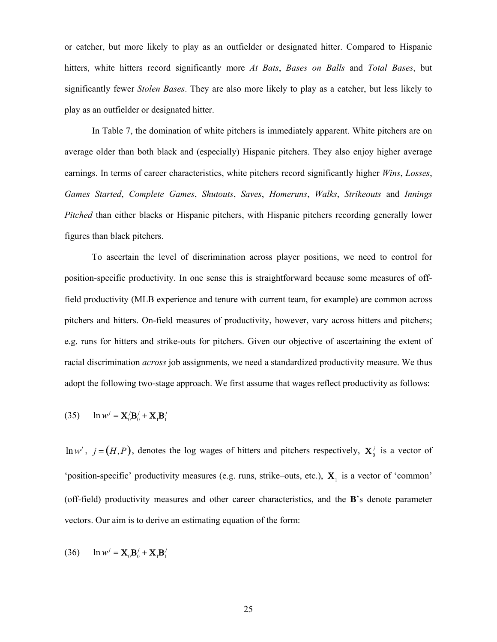or catcher, but more likely to play as an outfielder or designated hitter. Compared to Hispanic hitters, white hitters record significantly more *At Bats*, *Bases on Balls* and *Total Bases*, but significantly fewer *Stolen Bases*. They are also more likely to play as a catcher, but less likely to play as an outfielder or designated hitter.

In Table 7, the domination of white pitchers is immediately apparent. White pitchers are on average older than both black and (especially) Hispanic pitchers. They also enjoy higher average earnings. In terms of career characteristics, white pitchers record significantly higher *Wins*, *Losses*, *Games Started*, *Complete Games*, *Shutouts*, *Saves*, *Homeruns*, *Walks*, *Strikeouts* and *Innings Pitched* than either blacks or Hispanic pitchers, with Hispanic pitchers recording generally lower figures than black pitchers.

To ascertain the level of discrimination across player positions, we need to control for position-specific productivity. In one sense this is straightforward because some measures of offfield productivity (MLB experience and tenure with current team, for example) are common across pitchers and hitters. On-field measures of productivity, however, vary across hitters and pitchers; e.g. runs for hitters and strike-outs for pitchers. Given our objective of ascertaining the extent of racial discrimination *across* job assignments, we need a standardized productivity measure. We thus adopt the following two-stage approach. We first assume that wages reflect productivity as follows:

$$
(35) \qquad \ln w^j = \mathbf{X}_0^j \mathbf{B}_0^j + \mathbf{X}_1 \mathbf{B}_1^j
$$

 $\ln w^j$ ,  $j = (H, P)$ , denotes the log wages of hitters and pitchers respectively,  $X_0^j$  is a vector of 'position-specific' productivity measures (e.g. runs, strike–outs, etc.),  $X_1$  is a vector of 'common' (off-field) productivity measures and other career characteristics, and the **B**'s denote parameter vectors. Our aim is to derive an estimating equation of the form:

$$
(36) \qquad \ln w^j = \mathbf{X}_0 \mathbf{B}_0^j + \mathbf{X}_1 \mathbf{B}_1^j
$$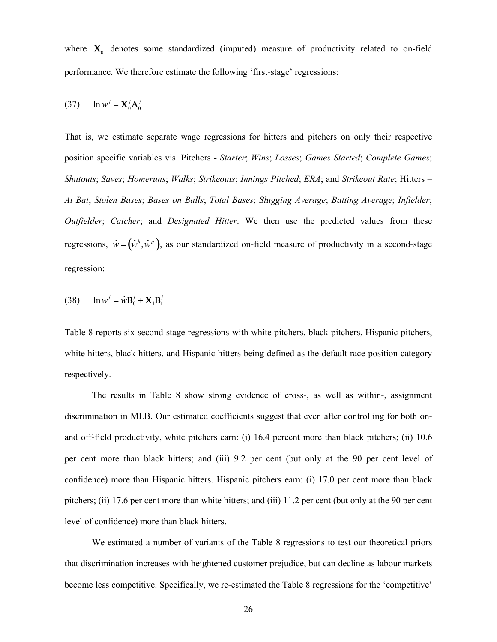where  $\mathbf{X}_{0}$  denotes some standardized (imputed) measure of productivity related to on-field performance. We therefore estimate the following 'first-stage' regressions:

$$
(37) \qquad \ln w^j = \mathbf{X}_0^j \mathbf{A}_0^j
$$

That is, we estimate separate wage regressions for hitters and pitchers on only their respective position specific variables vis. Pitchers - *Starter*; *Wins*; *Losses*; *Games Started*; *Complete Games*; *Shutouts*; *Saves*; *Homeruns*; *Walks*; *Strikeouts*; *Innings Pitched*; *ERA*; and *Strikeout Rate*; Hitters – *At Bat*; *Stolen Bases*; *Bases on Balls*; *Total Bases*; *Slugging Average*; *Batting Average*; *Infielder*; *Outfielder*; *Catcher*; and *Designated Hitter*. We then use the predicted values from these regressions,  $\hat{w} = (\hat{w}^h, \hat{w}^p)$ , as our standardized on-field measure of productivity in a second-stage regression:

$$
(38) \qquad \ln w^j = \hat{w} \mathbf{B}_0^j + \mathbf{X}_1 \mathbf{B}_1^j
$$

Table 8 reports six second-stage regressions with white pitchers, black pitchers, Hispanic pitchers, white hitters, black hitters, and Hispanic hitters being defined as the default race-position category respectively.

The results in Table 8 show strong evidence of cross-, as well as within-, assignment discrimination in MLB. Our estimated coefficients suggest that even after controlling for both onand off-field productivity, white pitchers earn: (i) 16.4 percent more than black pitchers; (ii) 10.6 per cent more than black hitters; and (iii) 9.2 per cent (but only at the 90 per cent level of confidence) more than Hispanic hitters. Hispanic pitchers earn: (i) 17.0 per cent more than black pitchers; (ii) 17.6 per cent more than white hitters; and (iii) 11.2 per cent (but only at the 90 per cent level of confidence) more than black hitters.

We estimated a number of variants of the Table 8 regressions to test our theoretical priors that discrimination increases with heightened customer prejudice, but can decline as labour markets become less competitive. Specifically, we re-estimated the Table 8 regressions for the 'competitive'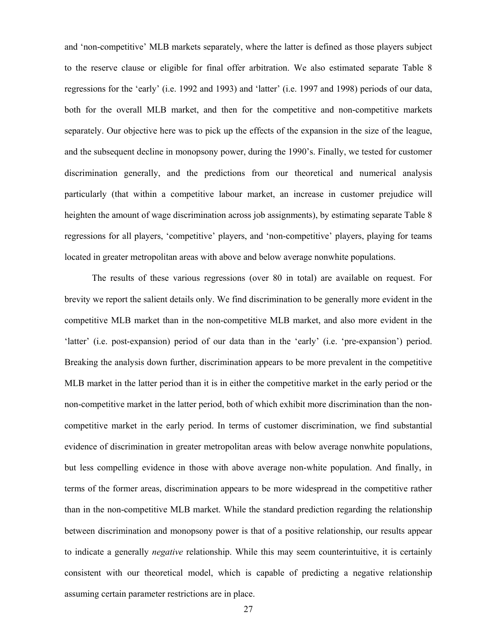and 'non-competitive' MLB markets separately, where the latter is defined as those players subject to the reserve clause or eligible for final offer arbitration. We also estimated separate Table 8 regressions for the 'early' (i.e. 1992 and 1993) and 'latter' (i.e. 1997 and 1998) periods of our data, both for the overall MLB market, and then for the competitive and non-competitive markets separately. Our objective here was to pick up the effects of the expansion in the size of the league, and the subsequent decline in monopsony power, during the 1990's. Finally, we tested for customer discrimination generally, and the predictions from our theoretical and numerical analysis particularly (that within a competitive labour market, an increase in customer prejudice will heighten the amount of wage discrimination across job assignments), by estimating separate Table 8 regressions for all players, 'competitive' players, and 'non-competitive' players, playing for teams located in greater metropolitan areas with above and below average nonwhite populations.

The results of these various regressions (over 80 in total) are available on request. For brevity we report the salient details only. We find discrimination to be generally more evident in the competitive MLB market than in the non-competitive MLB market, and also more evident in the 'latter' (i.e. post-expansion) period of our data than in the 'early' (i.e. 'pre-expansion') period. Breaking the analysis down further, discrimination appears to be more prevalent in the competitive MLB market in the latter period than it is in either the competitive market in the early period or the non-competitive market in the latter period, both of which exhibit more discrimination than the noncompetitive market in the early period. In terms of customer discrimination, we find substantial evidence of discrimination in greater metropolitan areas with below average nonwhite populations, but less compelling evidence in those with above average non-white population. And finally, in terms of the former areas, discrimination appears to be more widespread in the competitive rather than in the non-competitive MLB market. While the standard prediction regarding the relationship between discrimination and monopsony power is that of a positive relationship, our results appear to indicate a generally *negative* relationship. While this may seem counterintuitive, it is certainly consistent with our theoretical model, which is capable of predicting a negative relationship assuming certain parameter restrictions are in place.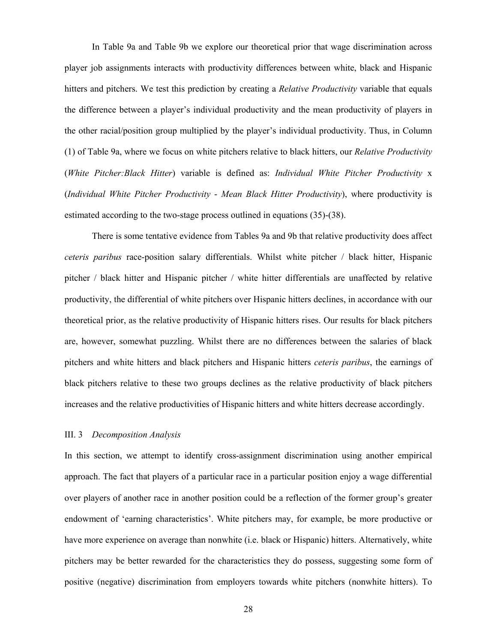In Table 9a and Table 9b we explore our theoretical prior that wage discrimination across player job assignments interacts with productivity differences between white, black and Hispanic hitters and pitchers. We test this prediction by creating a *Relative Productivity* variable that equals the difference between a player's individual productivity and the mean productivity of players in the other racial/position group multiplied by the player's individual productivity. Thus, in Column (1) of Table 9a, where we focus on white pitchers relative to black hitters, our *Relative Productivity* (*White Pitcher:Black Hitter*) variable is defined as: *Individual White Pitcher Productivity* x (*Individual White Pitcher Productivity* - *Mean Black Hitter Productivity*), where productivity is estimated according to the two-stage process outlined in equations (35)-(38).

 There is some tentative evidence from Tables 9a and 9b that relative productivity does affect *ceteris paribus* race-position salary differentials. Whilst white pitcher / black hitter, Hispanic pitcher / black hitter and Hispanic pitcher / white hitter differentials are unaffected by relative productivity, the differential of white pitchers over Hispanic hitters declines, in accordance with our theoretical prior, as the relative productivity of Hispanic hitters rises. Our results for black pitchers are, however, somewhat puzzling. Whilst there are no differences between the salaries of black pitchers and white hitters and black pitchers and Hispanic hitters *ceteris paribus*, the earnings of black pitchers relative to these two groups declines as the relative productivity of black pitchers increases and the relative productivities of Hispanic hitters and white hitters decrease accordingly.

#### III. 3 *Decomposition Analysis*

In this section, we attempt to identify cross-assignment discrimination using another empirical approach. The fact that players of a particular race in a particular position enjoy a wage differential over players of another race in another position could be a reflection of the former group's greater endowment of 'earning characteristics'. White pitchers may, for example, be more productive or have more experience on average than nonwhite (i.e. black or Hispanic) hitters. Alternatively, white pitchers may be better rewarded for the characteristics they do possess, suggesting some form of positive (negative) discrimination from employers towards white pitchers (nonwhite hitters). To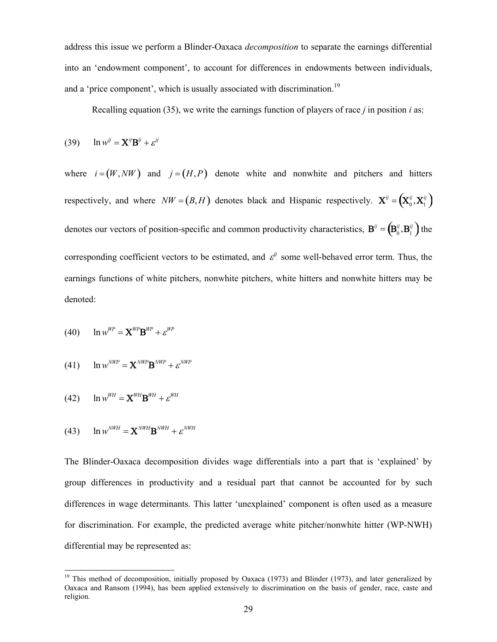address this issue we perform a Blinder-Oaxaca *decomposition* to separate the earnings differential into an 'endowment component', to account for differences in endowments between individuals, and a 'price component', which is usually associated with discrimination.<sup>19</sup>

Recalling equation (35), we write the earnings function of players of race *j* in position *i* as:

$$
(39) \qquad \ln w^{ij} = \mathbf{X}^{ij} \mathbf{B}^{ij} + \varepsilon^{ij}
$$

where  $i = (W, NW)$  and  $j = (H, P)$  denote white and nonwhite and pitchers and hitters respectively, and where  $NW = (B, H)$  denotes black and Hispanic respectively.  $\mathbf{X}^{\textit{ij}} = (\mathbf{X}^{\textit{ij}}_0, \mathbf{X}^{\textit{ij}}_1)$ denotes our vectors of position-specific and common productivity characteristics,  $\mathbf{B}^{ij} = (\mathbf{B}_0^{ij}, \mathbf{B}_1^{ij})$  the corresponding coefficient vectors to be estimated, and  $\varepsilon^{ij}$  some well-behaved error term. Thus, the earnings functions of white pitchers, nonwhite pitchers, white hitters and nonwhite hitters may be denoted:

$$
(40) \qquad \ln w^{WP} = \mathbf{X}^{WP} \mathbf{B}^{WP} + \varepsilon^{WP}
$$

$$
(41) \qquad \ln w^{NWP} = \mathbf{X}^{NWP} \mathbf{B}^{NWP} + \varepsilon^{NWP}
$$

$$
(42) \qquad \ln w^{WH} = \mathbf{X}^{WH} \mathbf{B}^{WH} + \varepsilon^{WH}
$$

-

$$
(43) \qquad \ln w^{NWH} = \mathbf{X}^{NWH} \mathbf{B}^{NWH} + \varepsilon^{NWH}
$$

The Blinder-Oaxaca decomposition divides wage differentials into a part that is 'explained' by group differences in productivity and a residual part that cannot be accounted for by such differences in wage determinants. This latter 'unexplained' component is often used as a measure for discrimination. For example, the predicted average white pitcher/nonwhite hitter (WP-NWH) differential may be represented as:

<sup>&</sup>lt;sup>19</sup> This method of decomposition, initially proposed by Oaxaca (1973) and Blinder (1973), and later generalized by Oaxaca and Ransom (1994), has been applied extensively to discrimination on the basis of gender, race, caste and religion.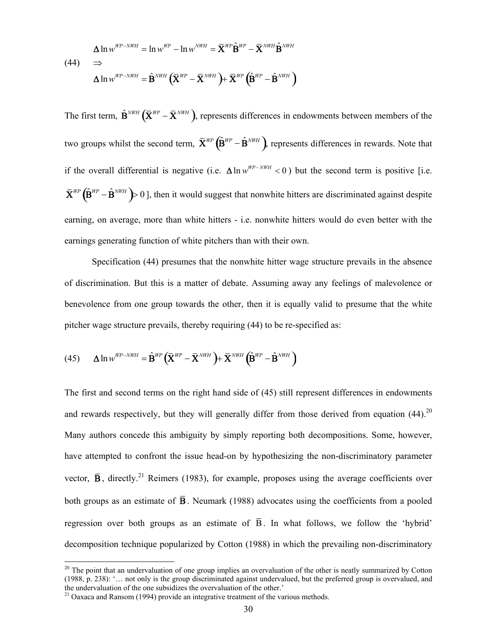$$
\Delta \ln w^{WP-NWH} = \ln w^{WP} - \ln w^{NWH} = \overline{\mathbf{X}}^{WP} \hat{\mathbf{B}}^{WP} - \overline{\mathbf{X}}^{NWH} \hat{\mathbf{B}}^{NWH}
$$
\n
$$
\Rightarrow \qquad \Delta \ln w^{WP-NWH} = \hat{\mathbf{B}}^{NWH} \left( \overline{\mathbf{X}}^{WP} - \overline{\mathbf{X}}^{NWH} \right) + \overline{\mathbf{X}}^{WP} \left( \hat{\mathbf{B}}^{WP} - \hat{\mathbf{B}}^{NWH} \right)
$$

The first term,  $\hat{\mathbf{B}}^{NWH}$   $(\overline{\mathbf{X}}^{WP} - \overline{\mathbf{X}}^{NWH})$ , represents differences in endowments between members of the two groups whilst the second term,  $\bar{\mathbf{X}}^{WP}(\hat{\mathbf{B}}^{WP} - \hat{\mathbf{B}}^{NWH})$ , represents differences in rewards. Note that if the overall differential is negative (i.e.  $\Delta \ln w^{WP-NWH} < 0$ ) but the second term is positive [i.e.  $\bar{\mathbf{X}}^{WP}$   $(\hat{\mathbf{B}}^{WP} - \hat{\mathbf{B}}^{NWH}) > 0$ ], then it would suggest that nonwhite hitters are discriminated against despite earning, on average, more than white hitters - i.e. nonwhite hitters would do even better with the earnings generating function of white pitchers than with their own.

 Specification (44) presumes that the nonwhite hitter wage structure prevails in the absence of discrimination. But this is a matter of debate. Assuming away any feelings of malevolence or benevolence from one group towards the other, then it is equally valid to presume that the white pitcher wage structure prevails, thereby requiring (44) to be re-specified as:

(45) 
$$
\Delta \ln w^{WP-NWH} = \hat{\mathbf{B}}^{WP} \left( \overline{\mathbf{X}}^{WP} - \overline{\mathbf{X}}^{NWH} \right) + \overline{\mathbf{X}}^{NWH} \left( \hat{\mathbf{B}}^{WP} - \hat{\mathbf{B}}^{NWH} \right)
$$

The first and second terms on the right hand side of (45) still represent differences in endowments and rewards respectively, but they will generally differ from those derived from equation  $(44)$ .<sup>20</sup> Many authors concede this ambiguity by simply reporting both decompositions. Some, however, have attempted to confront the issue head-on by hypothesizing the non-discriminatory parameter vector,  $\overline{B}$ , directly.<sup>21</sup> Reimers (1983), for example, proposes using the average coefficients over both groups as an estimate of  $\overline{B}$ . Neumark (1988) advocates using the coefficients from a pooled regression over both groups as an estimate of  $\overline{B}$ . In what follows, we follow the 'hybrid' decomposition technique popularized by Cotton (1988) in which the prevailing non-discriminatory

 $\overline{a}$ 

 $20$  The point that an undervaluation of one group implies an overvaluation of the other is neatly summarized by Cotton (1988, p. 238): '… not only is the group discriminated against undervalued, but the preferred group is overvalued, and the undervaluation of the one subsidizes the overvaluation of the other.'

 $21$  Oaxaca and Ransom (1994) provide an integrative treatment of the various methods.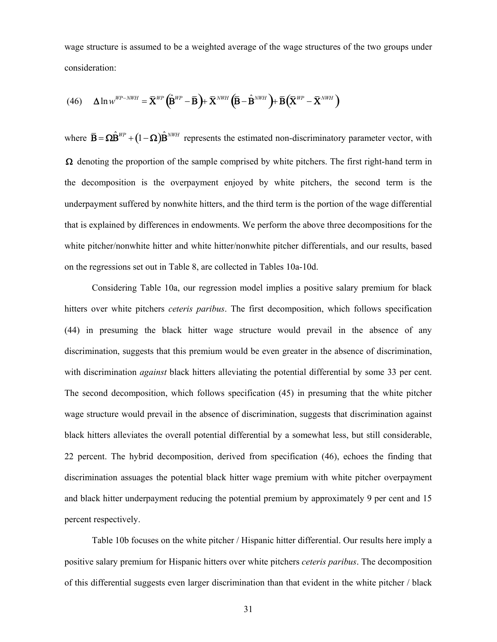wage structure is assumed to be a weighted average of the wage structures of the two groups under consideration:

(46) 
$$
\Delta \ln w^{WP-NWH} = \overline{\mathbf{X}}^{WP} \left( \mathbf{\hat{B}}^{WP} - \overline{\mathbf{B}} \right) + \overline{\mathbf{X}}^{NWH} \left( \overline{\mathbf{B}} - \mathbf{\hat{B}}^{NWH} \right) + \overline{\mathbf{B}} \left( \overline{\mathbf{X}}^{WP} - \overline{\mathbf{X}}^{NWH} \right)
$$

where  $\mathbf{\bar{B}} = \Omega \hat{\mathbf{B}}^{WP} + (1 - \Omega) \hat{\mathbf{B}}^{NWH}$  represents the estimated non-discriminatory parameter vector, with  $\Omega$  denoting the proportion of the sample comprised by white pitchers. The first right-hand term in the decomposition is the overpayment enjoyed by white pitchers, the second term is the underpayment suffered by nonwhite hitters, and the third term is the portion of the wage differential that is explained by differences in endowments. We perform the above three decompositions for the white pitcher/nonwhite hitter and white hitter/nonwhite pitcher differentials, and our results, based on the regressions set out in Table 8, are collected in Tables 10a-10d.

 Considering Table 10a, our regression model implies a positive salary premium for black hitters over white pitchers *ceteris paribus*. The first decomposition, which follows specification (44) in presuming the black hitter wage structure would prevail in the absence of any discrimination, suggests that this premium would be even greater in the absence of discrimination, with discrimination *against* black hitters alleviating the potential differential by some 33 per cent. The second decomposition, which follows specification (45) in presuming that the white pitcher wage structure would prevail in the absence of discrimination, suggests that discrimination against black hitters alleviates the overall potential differential by a somewhat less, but still considerable, 22 percent. The hybrid decomposition, derived from specification (46), echoes the finding that discrimination assuages the potential black hitter wage premium with white pitcher overpayment and black hitter underpayment reducing the potential premium by approximately 9 per cent and 15 percent respectively.

 Table 10b focuses on the white pitcher / Hispanic hitter differential. Our results here imply a positive salary premium for Hispanic hitters over white pitchers *ceteris paribus*. The decomposition of this differential suggests even larger discrimination than that evident in the white pitcher / black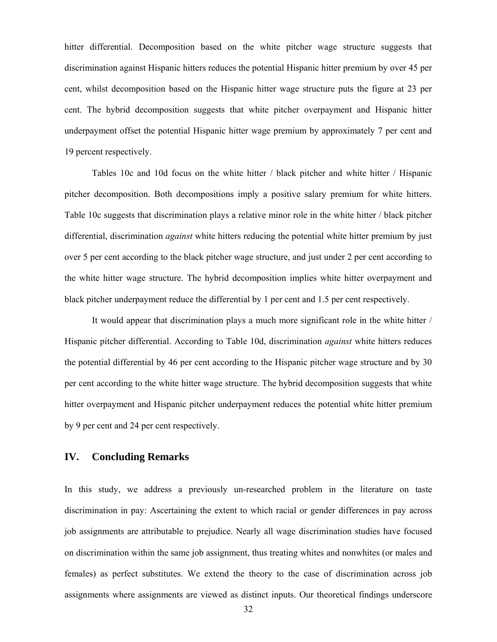hitter differential. Decomposition based on the white pitcher wage structure suggests that discrimination against Hispanic hitters reduces the potential Hispanic hitter premium by over 45 per cent, whilst decomposition based on the Hispanic hitter wage structure puts the figure at 23 per cent. The hybrid decomposition suggests that white pitcher overpayment and Hispanic hitter underpayment offset the potential Hispanic hitter wage premium by approximately 7 per cent and 19 percent respectively.

 Tables 10c and 10d focus on the white hitter / black pitcher and white hitter / Hispanic pitcher decomposition. Both decompositions imply a positive salary premium for white hitters. Table 10c suggests that discrimination plays a relative minor role in the white hitter / black pitcher differential, discrimination *against* white hitters reducing the potential white hitter premium by just over 5 per cent according to the black pitcher wage structure, and just under 2 per cent according to the white hitter wage structure. The hybrid decomposition implies white hitter overpayment and black pitcher underpayment reduce the differential by 1 per cent and 1.5 per cent respectively.

 It would appear that discrimination plays a much more significant role in the white hitter / Hispanic pitcher differential. According to Table 10d, discrimination *against* white hitters reduces the potential differential by 46 per cent according to the Hispanic pitcher wage structure and by 30 per cent according to the white hitter wage structure. The hybrid decomposition suggests that white hitter overpayment and Hispanic pitcher underpayment reduces the potential white hitter premium by 9 per cent and 24 per cent respectively.

# **IV. Concluding Remarks**

In this study, we address a previously un-researched problem in the literature on taste discrimination in pay: Ascertaining the extent to which racial or gender differences in pay across job assignments are attributable to prejudice. Nearly all wage discrimination studies have focused on discrimination within the same job assignment, thus treating whites and nonwhites (or males and females) as perfect substitutes. We extend the theory to the case of discrimination across job assignments where assignments are viewed as distinct inputs. Our theoretical findings underscore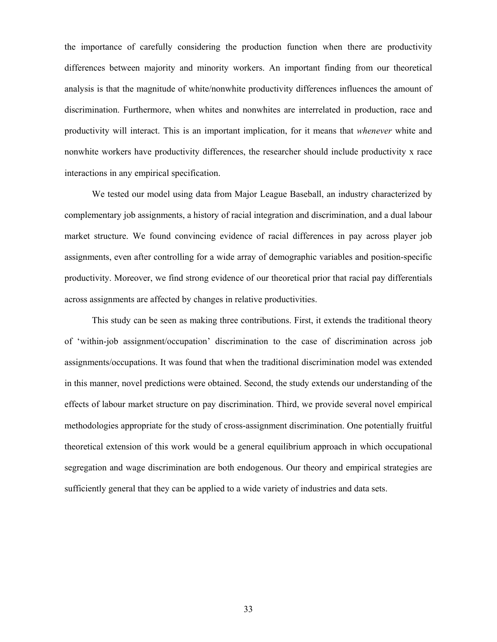the importance of carefully considering the production function when there are productivity differences between majority and minority workers. An important finding from our theoretical analysis is that the magnitude of white/nonwhite productivity differences influences the amount of discrimination. Furthermore, when whites and nonwhites are interrelated in production, race and productivity will interact. This is an important implication, for it means that *whenever* white and nonwhite workers have productivity differences, the researcher should include productivity x race interactions in any empirical specification.

We tested our model using data from Major League Baseball, an industry characterized by complementary job assignments, a history of racial integration and discrimination, and a dual labour market structure. We found convincing evidence of racial differences in pay across player job assignments, even after controlling for a wide array of demographic variables and position-specific productivity. Moreover, we find strong evidence of our theoretical prior that racial pay differentials across assignments are affected by changes in relative productivities.

This study can be seen as making three contributions. First, it extends the traditional theory of 'within-job assignment/occupation' discrimination to the case of discrimination across job assignments/occupations. It was found that when the traditional discrimination model was extended in this manner, novel predictions were obtained. Second, the study extends our understanding of the effects of labour market structure on pay discrimination. Third, we provide several novel empirical methodologies appropriate for the study of cross-assignment discrimination. One potentially fruitful theoretical extension of this work would be a general equilibrium approach in which occupational segregation and wage discrimination are both endogenous. Our theory and empirical strategies are sufficiently general that they can be applied to a wide variety of industries and data sets.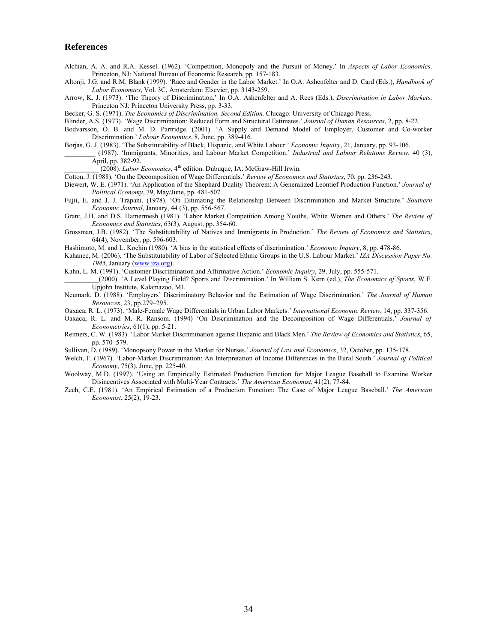#### **References**

Alchian, A. A. and R.A. Kessel. (1962). 'Competition, Monopoly and the Pursuit of Money.' In *Aspects of Labor Economics*. Princeton, NJ: National Bureau of Economic Research, pp. 157-183.

Altonji, J.G. and R.M. Blank (1999). 'Race and Gender in the Labor Market.' In O.A. Ashenfelter and D. Card (Eds.), *Handbook of Labor Economics*, Vol. 3C, Amsterdam: Elsevier, pp. 3143-259.

Arrow, K. J. (1973). 'The Theory of Discrimination.' In O.A. Ashenfelter and A. Rees (Eds.), *Discrimination in Labor Markets*. Princeton NJ: Princeton University Press, pp. 3-33.

Becker, G. S. (1971). *The Economics of Discrimination, Second Edition.* Chicago: University of Chicago Press.

Blinder, A.S. (1973). 'Wage Discrimination: Reduced Form and Structural Estimates.' *Journal of Human Resources*, 2, pp. 8-22.

Bodvarsson, Ö. B. and M. D. Partridge. (2001). 'A Supply and Demand Model of Employer, Customer and Co-worker Discrimination.' *Labour Economics*, 8, June, pp. 389-416.

Borjas, G. J. (1983). 'The Substitutability of Black, Hispanic, and White Labour.' *Economic Inquiry*, 21, January, pp. 93-106.

\_\_\_\_\_\_\_\_\_ (1987). 'Immigrants, Minorities, and Labour Market Competition.' *Industrial and Labour Relations Review*, 40 (3), April, pp. 382-92.

(2008). *Labor Economics*, 4<sup>th</sup> edition. Dubuque, IA: McGraw-Hill Irwin.

Cotton, J. (1988). 'On the Decomposition of Wage Differentials.' *Review of Economics and Statistics*, 70, pp. 236-243.

- Diewert, W. E. (1971). 'An Application of the Shephard Duality Theorem: A Generalized Leontief Production Function.' *Journal of Political Economy*, 79, May/June, pp. 481-507.
- Fujii, E. and J. J. Trapani. (1978). 'On Estimating the Relationship Between Discrimination and Market Structure.' *Southern Economic Journal*, January, 44 (3), pp. 556-567.
- Grant, J.H. and D.S. Hamermesh (1981). 'Labor Market Competition Among Youths, White Women and Others.' *The Review of Economics and Statistics*, 63(3), August, pp. 354-60.
- Grossman, J.B. (1982). 'The Substitutability of Natives and Immigrants in Production.' *The Review of Economics and Statistics*, 64(4), November, pp. 596-603.

Hashimoto, M. and L. Kochin (1980). 'A bias in the statistical effects of discrimination.' *Economic Inquiry*, 8, pp. 478-86.

Kahanec, M. (2006). 'The Substitutability of Labor of Selected Ethnic Groups in the U.S. Labour Market.' *IZA Discussion Paper No. 1945*, January (www.iza.org).

Kahn, L. M. (1991). 'Customer Discrimination and Affirmative Action.' *Economic Inquiry*, 29, July, pp. 555-571.

\_\_\_\_\_\_\_\_\_\_(2000). 'A Level Playing Field? Sports and Discrimination.' In William S. Kern (ed.), *The Economics of Sports*, W.E. Upjohn Institute, Kalamazoo, MI.

Neumark, D. (1988). 'Employers' Discriminatory Behavior and the Estimation of Wage Discrimination.' *The Journal of Human Resources*, 23, pp.279–295.

Oaxaca, R. L. (1973). 'Male-Female Wage Differentials in Urban Labor Markets.' *International Economic Review*, 14, pp. 337-356.

- Oaxaca, R. L. and M. R. Ransom. (1994) 'On Discrimination and the Decomposition of Wage Differentials.' *Journal of Econometrics*, 61(1), pp. 5-21.
- Reimers, C. W. (1983). 'Labor Market Discrimination against Hispanic and Black Men.' *The Review of Economics and Statistics*, 65, pp. 570–579.

Sullivan, D. (1989). 'Monopsony Power in the Market for Nurses.' *Journal of Law and Economics*, 32, October, pp. 135-178.

- Welch, F. (1967). 'Labor-Market Discrimination: An Interpretation of Income Differences in the Rural South.' *Journal of Political Economy*, 75(3), June, pp. 225-40.
- Woolway, M.D. (1997). 'Using an Empirically Estimated Production Function for Major League Baseball to Examine Worker Disincentives Associated with Multi-Year Contracts.' *The American Economist*, 41(2), 77-84.
- Zech, C.E. (1981). 'An Empirical Estimation of a Production Function: The Case of Major League Baseball.' *The American Economist*, 25(2), 19-23.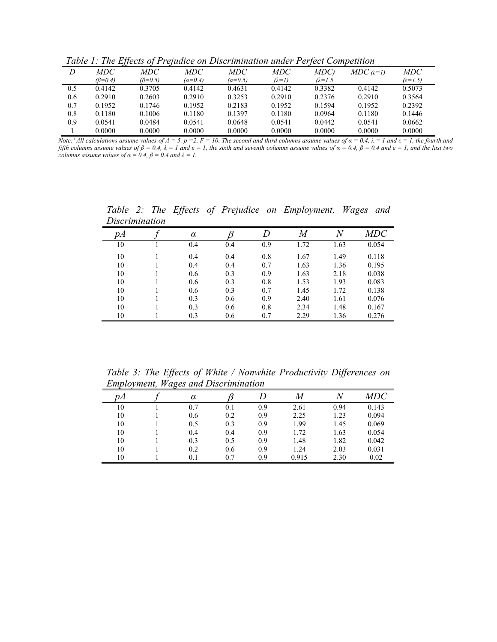*Table 1: The Effects of Prejudice on Discrimination under Perfect Competition* 

| D   | MDC       | <i>MDC</i> | MDC.      | <i>MDC</i> | MDC     | MDC)          | $MDC$ (e=1) | MDC            |
|-----|-----------|------------|-----------|------------|---------|---------------|-------------|----------------|
|     | $(B=0.4)$ | $(B=0.5)$  | $(a=0.4)$ | $(a=0.5)$  | $(2-1)$ | $\alpha$ =1.5 |             | $\epsilon=1.5$ |
| 0.5 | 0.4142    | 0.3705     | 0.4142    | 0.4631     | 0.4142  | 0.3382        | 0.4142      | 0.5073         |
| 0.6 | 0.2910    | 0.2603     | 0.2910    | 0.3253     | 0.2910  | 0.2376        | 0.2910      | 0.3564         |
| 0.7 | 0.1952    | 0.1746     | 0.1952    | 0.2183     | 0.1952  | 0.1594        | 0.1952      | 0.2392         |
| 0.8 | 0.1180    | 0.1006     | 0.1180    | 0.1397     | 0.1180  | 0.0964        | 0.1180      | 0.1446         |
| 0.9 | 0.0541    | 0.0484     | 0.0541    | 0.0648     | 0.0541  | 0.0442        | 0.0541      | 0.0662         |
|     | 0.0000    | 0.0000     | 0.0000    | 0.0000     | 0.0000  | 0.0000        | 0.0000      | 0.0000         |

*Note:* <sup>*i*</sup> All calculations assume values of  $A = 5$ ,  $p = 2$ ,  $F = 10$ . The second and third columns assume values of  $\alpha = 0.4$ ,  $\lambda = 1$  and  $\epsilon = 1$ , the fourth and fifth columns assume values of  $\beta = 0.4$ ,  $\lambda = 1$  and  $\varepsilon = 1$ , the sixth and seventh columns assume values of  $\alpha = 0.4$ ,  $\beta = 0.4$  and  $\varepsilon = 1$ , and the last two *columns assume values of*  $\alpha = 0.4$ ,  $\beta = 0.4$  *and*  $\lambda = 1$ .

*Table 2: The Effects of Prejudice on Employment, Wages and Discrimination* 

| $\bm{\nu}$ to $\bm{\nu}$ , then the throne |          |     |     |      |      |            |
|--------------------------------------------|----------|-----|-----|------|------|------------|
| рA                                         | $\alpha$ |     | D   | M    | λ    | <b>MDC</b> |
| 10                                         | 0.4      | 0.4 | 0.9 | 1.72 | 1.63 | 0.054      |
| 10                                         | 0.4      | 0.4 | 0.8 | 1.67 | 1.49 | 0.118      |
| 10                                         | 0.4      | 0.4 | 0.7 | 1.63 | 1.36 | 0.195      |
| 10                                         | 0.6      | 0.3 | 0.9 | 1.63 | 2.18 | 0.038      |
| 10                                         | 0.6      | 0.3 | 0.8 | 1.53 | 1.93 | 0.083      |
| 10                                         | 0.6      | 0.3 | 0.7 | 1.45 | 1.72 | 0.138      |
| 10                                         | 0.3      | 0.6 | 0.9 | 2.40 | 1.61 | 0.076      |
| 10                                         | 0.3      | 0.6 | 0.8 | 2.34 | 1.48 | 0.167      |
| 10                                         | 0.3      | 0.6 | 0.7 | 2.29 | 1.36 | 0.276      |
|                                            |          |     |     |      |      |            |

*Table 3: The Effects of White / Nonwhite Productivity Differences on Employment, Wages and Discrimination* 

|    | Linprogram, it ages and Discrimination |     |     |       |      |       |
|----|----------------------------------------|-----|-----|-------|------|-------|
| vА | $\alpha$                               |     |     |       |      | MDC   |
| 10 | 0.7                                    | 0.1 | 0.9 | 2.61  | 0.94 | 0.143 |
| 10 | 0.6                                    | 0.2 | 0.9 | 2.25  | 1.23 | 0.094 |
| 10 | 0.5                                    | 0.3 | 0.9 | 1.99  | 1.45 | 0.069 |
| 10 | 0.4                                    | 0.4 | 0.9 | 1.72  | 1.63 | 0.054 |
| 10 | 0.3                                    | 0.5 | 0.9 | 1.48  | 1.82 | 0.042 |
| 10 | 0.2                                    | 0.6 | 0.9 | 1.24  | 2.03 | 0.031 |
| 10 | 0 <sub>1</sub>                         | 0.7 | 09  | 0.915 | 2.30 | 0.02  |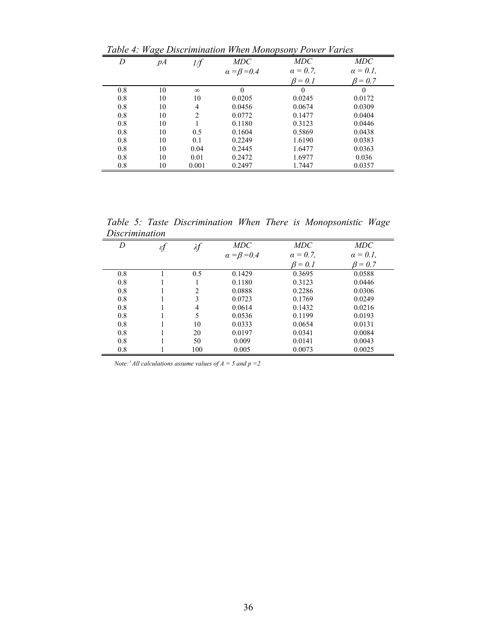|     |       |                |                        | Tubic +. Truge Discrimination fruch monopsony I ower raries |                |
|-----|-------|----------------|------------------------|-------------------------------------------------------------|----------------|
| D   | $p_A$ | IJ             | MDC                    | <i>MDC</i>                                                  | MDC            |
|     |       |                | $\alpha = \beta = 0.4$ | $\alpha = 0.7$ ,                                            | $\alpha = 0.1$ |
|     |       |                |                        | $\beta = 0.1$                                               | $\beta = 0.7$  |
| 0.8 | 10    | $\infty$       | $\Omega$               | $\Omega$                                                    | $\Omega$       |
| 0.8 | 10    | 10             | 0.0205                 | 0.0245                                                      | 0.0172         |
| 0.8 | 10    | 4              | 0.0456                 | 0.0674                                                      | 0.0309         |
| 0.8 | 10    | $\overline{2}$ | 0.0772                 | 0.1477                                                      | 0.0404         |
| 0.8 | 10    |                | 0.1180                 | 0.3123                                                      | 0.0446         |
| 0.8 | 10    | 0.5            | 0.1604                 | 0.5869                                                      | 0.0438         |
| 0.8 | 10    | 0.1            | 0.2249                 | 1.6190                                                      | 0.0383         |
| 0.8 | 10    | 0.04           | 0.2445                 | 1.6477                                                      | 0.0363         |
| 0.8 | 10    | 0.01           | 0.2472                 | 1.6977                                                      | 0.036          |
| 0.8 | 10    | 0.001          | 0.2497                 | 1.7447                                                      | 0.0357         |

*Table 4: Wage Discrimination When Monopsony Power Varies* 

*Table 5: Taste Discrimination When There is Monopsonistic Wage Discrimination* 

| Discrimination |    |                |                        |                  |                |
|----------------|----|----------------|------------------------|------------------|----------------|
| D              | εf | λf             | <i>MDC</i>             | <b>MDC</b>       | <i>MDC</i>     |
|                |    |                | $\alpha = \beta = 0.4$ | $\alpha = 0.7$ , | $\alpha = 0.1$ |
|                |    |                |                        | $\beta = 0.1$    | $\beta = 0.7$  |
| 0.8            |    | 0.5            | 0.1429                 | 0.3695           | 0.0588         |
| 0.8            |    |                | 0.1180                 | 0.3123           | 0.0446         |
| 0.8            |    | $\overline{c}$ | 0.0888                 | 0.2286           | 0.0306         |
| 0.8            |    | 3              | 0.0723                 | 0.1769           | 0.0249         |
| 0.8            |    | 4              | 0.0614                 | 0.1432           | 0.0216         |
| 0.8            |    | 5              | 0.0536                 | 0.1199           | 0.0193         |
| 0.8            |    | 10             | 0.0333                 | 0.0654           | 0.0131         |
| 0.8            |    | 20             | 0.0197                 | 0.0341           | 0.0084         |
| 0.8            |    | 50             | 0.009                  | 0.0141           | 0.0043         |
| 0.8            |    | 100            | 0.005                  | 0.0073           | 0.0025         |

*Note:* <sup>*i</sup> All calculations assume values of*  $A = 5$  *and*  $p = 2$ </sup>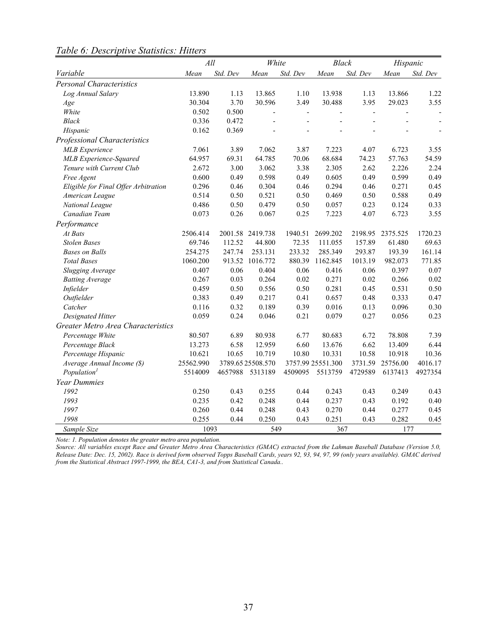|                                      | All       |          | White                    |               | <b>Black</b>      |               | Hispanic       |          |
|--------------------------------------|-----------|----------|--------------------------|---------------|-------------------|---------------|----------------|----------|
| Variable                             | Mean      | Std. Dev | Mean                     | Std. Dev      | Mean              | Std. Dev      | Mean           | Std. Dev |
| <b>Personal Characteristics</b>      |           |          |                          |               |                   |               |                |          |
| Log Annual Salary                    | 13.890    | 1.13     | 13.865                   | 1.10          | 13.938            | 1.13          | 13.866         | 1.22     |
| Age                                  | 30.304    | 3.70     | 30.596                   | 3.49          | 30.488            | 3.95          | 29.023         | 3.55     |
| White                                | 0.502     | 0.500    | $\overline{\phantom{0}}$ | $\frac{1}{2}$ | $\frac{1}{2}$     | $\frac{1}{2}$ | $\overline{a}$ |          |
| <b>Black</b>                         | 0.336     | 0.472    |                          | Ĭ.            |                   |               |                |          |
| Hispanic                             | 0.162     | 0.369    |                          |               |                   |               |                |          |
| <b>Professional Characteristics</b>  |           |          |                          |               |                   |               |                |          |
| <b>MLB</b> Experience                | 7.061     | 3.89     | 7.062                    | 3.87          | 7.223             | 4.07          | 6.723          | 3.55     |
| MLB Experience-Squared               | 64.957    | 69.31    | 64.785                   | 70.06         | 68.684            | 74.23         | 57.763         | 54.59    |
| Tenure with Current Club             | 2.672     | 3.00     | 3.062                    | 3.38          | 2.305             | 2.62          | 2.226          | 2.24     |
| Free Agent                           | 0.600     | 0.49     | 0.598                    | 0.49          | 0.605             | 0.49          | 0.599          | 0.49     |
| Eligible for Final Offer Arbitration | 0.296     | 0.46     | 0.304                    | 0.46          | 0.294             | 0.46          | 0.271          | 0.45     |
| American League                      | 0.514     | 0.50     | 0.521                    | 0.50          | 0.469             | 0.50          | 0.588          | 0.49     |
| National League                      | 0.486     | 0.50     | 0.479                    | 0.50          | 0.057             | 0.23          | 0.124          | 0.33     |
| Canadian Team                        | 0.073     | 0.26     | 0.067                    | 0.25          | 7.223             | 4.07          | 6.723          | 3.55     |
| Performance                          |           |          |                          |               |                   |               |                |          |
| At Bats                              | 2506.414  |          | 2001.58 2419.738         | 1940.51       | 2699.202          | 2198.95       | 2375.525       | 1720.23  |
| <b>Stolen Bases</b>                  | 69.746    | 112.52   | 44.800                   | 72.35         | 111.055           | 157.89        | 61.480         | 69.63    |
| <b>Bases on Balls</b>                | 254.275   | 247.74   | 253.131                  | 233.32        | 285.349           | 293.87        | 193.39         | 161.14   |
| <b>Total Bases</b>                   | 1060.200  |          | 913.52 1016.772          | 880.39        | 1162.845          | 1013.19       | 982.073        | 771.85   |
| <b>Slugging Average</b>              | 0.407     | 0.06     | 0.404                    | 0.06          | 0.416             | 0.06          | 0.397          | 0.07     |
| <b>Batting Average</b>               | 0.267     | 0.03     | 0.264                    | 0.02          | 0.271             | 0.02          | 0.266          | 0.02     |
| Infielder                            | 0.459     | 0.50     | 0.556                    | 0.50          | 0.281             | 0.45          | 0.531          | 0.50     |
| Outfielder                           | 0.383     | 0.49     | 0.217                    | 0.41          | 0.657             | 0.48          | 0.333          | 0.47     |
| Catcher                              | 0.116     | 0.32     | 0.189                    | 0.39          | 0.016             | 0.13          | 0.096          | 0.30     |
| Designated Hitter                    | 0.059     | 0.24     | 0.046                    | 0.21          | 0.079             | 0.27          | 0.056          | 0.23     |
| Greater Metro Area Characteristics   |           |          |                          |               |                   |               |                |          |
| Percentage White                     | 80.507    | 6.89     | 80.938                   | 6.77          | 80.683            | 6.72          | 78.808         | 7.39     |
| Percentage Black                     | 13.273    | 6.58     | 12.959                   | 6.60          | 13.676            | 6.62          | 13.409         | 6.44     |
| Percentage Hispanic                  | 10.621    | 10.65    | 10.719                   | 10.80         | 10.331            | 10.58         | 10.918         | 10.36    |
| Average Annual Income (\$)           | 25562.990 |          | 3789.6525508.570         |               | 3757.99 25551.300 | 3731.59       | 25756.00       | 4016.17  |
| Population <sup>1</sup>              | 5514009   | 4657988  | 5313189                  | 4509095       | 5513759           | 4729589       | 6137413        | 4927354  |
| Year Dummies                         |           |          |                          |               |                   |               |                |          |
| 1992                                 | 0.250     | 0.43     | 0.255                    | 0.44          | 0.243             | 0.43          | 0.249          | 0.43     |
| 1993                                 | 0.235     | 0.42     | 0.248                    | 0.44          | 0.237             | 0.43          | 0.192          | 0.40     |
| 1997                                 | 0.260     | 0.44     | 0.248                    | 0.43          | 0.270             | 0.44          | 0.277          | 0.45     |
| 1998                                 | 0.255     | 0.44     | 0.250                    | 0.43          | 0.251             | 0.43          | 0.282          | 0.45     |
| Sample Size                          | 1093      |          | 549                      |               | 367               |               | 177            |          |

*Table 6: Descriptive Statistics: Hitters* 

*Note: 1. Population denotes the greater metro area population.* 

*Source: All variables except Race and Greater Metro Area Characteristics (GMAC) extracted from the Lahman Baseball Database (Version 5.0, Release Date: Dec. 15, 2002). Race is derived form observed Topps Baseball Cards, years 92, 93, 94, 97, 99 (only years available). GMAC derived from the Statistical Abstract 1997-1999, the BEA, CA1-3, and from Statistical Canada..*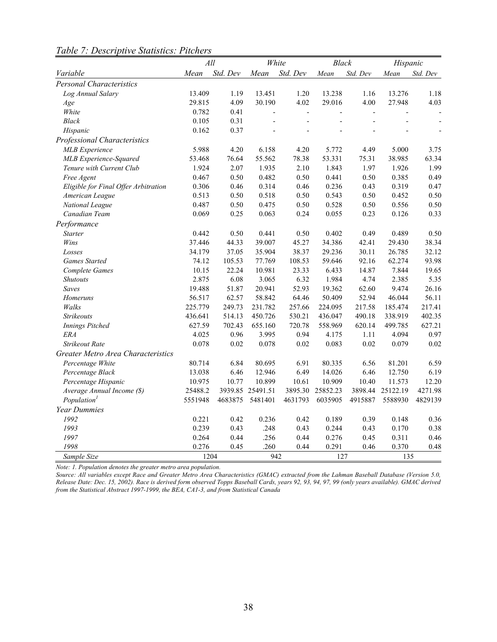|                                      |         | $\mathit{All}$ |                  | White          | <b>Black</b>  |               | Hispanic |                              |
|--------------------------------------|---------|----------------|------------------|----------------|---------------|---------------|----------|------------------------------|
| Variable                             | Mean    | Std. Dev       | Mean             | Std. Dev       | Mean          | Std. Dev      | Mean     | Std. Dev                     |
| <b>Personal Characteristics</b>      |         |                |                  |                |               |               |          |                              |
| Log Annual Salary                    | 13.409  | 1.19           | 13.451           | 1.20           | 13.238        | 1.16          | 13.276   | 1.18                         |
| Age                                  | 29.815  | 4.09           | 30.190           | 4.02           | 29.016        | 4.00          | 27.948   | 4.03                         |
| White                                | 0.782   | 0.41           | $\overline{a}$   | $\frac{1}{2}$  | $\frac{1}{2}$ | $\frac{1}{2}$ |          | $\qquad \qquad \blacksquare$ |
| <b>Black</b>                         | 0.105   | 0.31           |                  | $\overline{a}$ |               | Ĭ.            |          |                              |
| Hispanic                             | 0.162   | 0.37           |                  |                |               |               |          |                              |
| Professional Characteristics         |         |                |                  |                |               |               |          |                              |
| <b>MLB</b> Experience                | 5.988   | 4.20           | 6.158            | 4.20           | 5.772         | 4.49          | 5.000    | 3.75                         |
| MLB Experience-Squared               | 53.468  | 76.64          | 55.562           | 78.38          | 53.331        | 75.31         | 38.985   | 63.34                        |
| Tenure with Current Club             | 1.924   | 2.07           | 1.935            | 2.10           | 1.843         | 1.97          | 1.926    | 1.99                         |
| Free Agent                           | 0.467   | 0.50           | 0.482            | 0.50           | 0.441         | 0.50          | 0.385    | 0.49                         |
| Eligible for Final Offer Arbitration | 0.306   | 0.46           | 0.314            | 0.46           | 0.236         | 0.43          | 0.319    | 0.47                         |
| American League                      | 0.513   | $0.50\,$       | 0.518            | 0.50           | 0.543         | 0.50          | 0.452    | 0.50                         |
| National League                      | 0.487   | 0.50           | 0.475            | 0.50           | 0.528         | 0.50          | 0.556    | 0.50                         |
| Canadian Team                        | 0.069   | 0.25           | 0.063            | 0.24           | 0.055         | 0.23          | 0.126    | 0.33                         |
| Performance                          |         |                |                  |                |               |               |          |                              |
| <b>Starter</b>                       | 0.442   | 0.50           | 0.441            | 0.50           | 0.402         | 0.49          | 0.489    | 0.50                         |
| Wins                                 | 37.446  | 44.33          | 39.007           | 45.27          | 34.386        | 42.41         | 29.430   | 38.34                        |
| Losses                               | 34.179  | 37.05          | 35.904           | 38.37          | 29.236        | 30.11         | 26.785   | 32.12                        |
| <b>Games Started</b>                 | 74.12   | 105.53         | 77.769           | 108.53         | 59.646        | 92.16         | 62.274   | 93.98                        |
| Complete Games                       | 10.15   | 22.24          | 10.981           | 23.33          | 6.433         | 14.87         | 7.844    | 19.65                        |
| <b>Shutouts</b>                      | 2.875   | 6.08           | 3.065            | 6.32           | 1.984         | 4.74          | 2.385    | 5.35                         |
| Saves                                | 19.488  | 51.87          | 20.941           | 52.93          | 19.362        | 62.60         | 9.474    | 26.16                        |
| Homeruns                             | 56.517  | 62.57          | 58.842           | 64.46          | 50.409        | 52.94         | 46.044   | 56.11                        |
| Walks                                | 225.779 | 249.73         | 231.782          | 257.66         | 224.095       | 217.58        | 185.474  | 217.41                       |
| <b>Strikeouts</b>                    | 436.641 | 514.13         | 450.726          | 530.21         | 436.047       | 490.18        | 338.919  | 402.35                       |
| Innings Pitched                      | 627.59  | 702.43         | 655.160          | 720.78         | 558.969       | 620.14        | 499.785  | 627.21                       |
| <b>ERA</b>                           | 4.025   | 0.96           | 3.995            | 0.94           | 4.175         | 1.11          | 4.094    | 0.97                         |
| Strikeout Rate                       | 0.078   | $0.02\,$       | 0.078            | 0.02           | 0.083         | $0.02\,$      | 0.079    | 0.02                         |
| Greater Metro Area Characteristics   |         |                |                  |                |               |               |          |                              |
| Percentage White                     | 80.714  | 6.84           | 80.695           | 6.91           | 80.335        | 6.56          | 81.201   | 6.59                         |
| Percentage Black                     | 13.038  | 6.46           | 12.946           | 6.49           | 14.026        | 6.46          | 12.750   | 6.19                         |
| Percentage Hispanic                  | 10.975  | 10.77          | 10.899           | 10.61          | 10.909        | 10.40         | 11.573   | 12.20                        |
| Average Annual Income (\$)           | 25488.2 |                | 3939.85 25491.51 | 3895.30        | 25852.23      | 3898.44       | 25122.19 | 4271.98                      |
| Population <sup>1</sup>              | 5551948 | 4683875        | 5481401          | 4631793        | 6035905       | 4915887       | 5588930  | 4829139                      |
| Year Dummies                         |         |                |                  |                |               |               |          |                              |
| 1992                                 | 0.221   | 0.42           | 0.236            | 0.42           | 0.189         | 0.39          | 0.148    | 0.36                         |
| 1993                                 | 0.239   | 0.43           | .248             | 0.43           | 0.244         | 0.43          | 0.170    | 0.38                         |
| 1997                                 | 0.264   | 0.44           | .256             | 0.44           | 0.276         | 0.45          | 0.311    | 0.46                         |
| 1998                                 | 0.276   | 0.45           | .260             | 0.44           | 0.291         | 0.46          | 0.370    | 0.48                         |
| Sample Size                          |         | 1204           | 942              |                | 127           |               | 135      |                              |

# *Table 7: Descriptive Statistics: Pitchers*

*Note: 1. Population denotes the greater metro area population.* 

*Source: All variables except Race and Greater Metro Area Characteristics (GMAC) extracted from the Lahman Baseball Database (Version 5.0, Release Date: Dec. 15, 2002). Race is derived form observed Topps Baseball Cards, years 92, 93, 94, 97, 99 (only years available). GMAC derived from the Statistical Abstract 1997-1999, the BEA, CA1-3, and from Statistical Canada*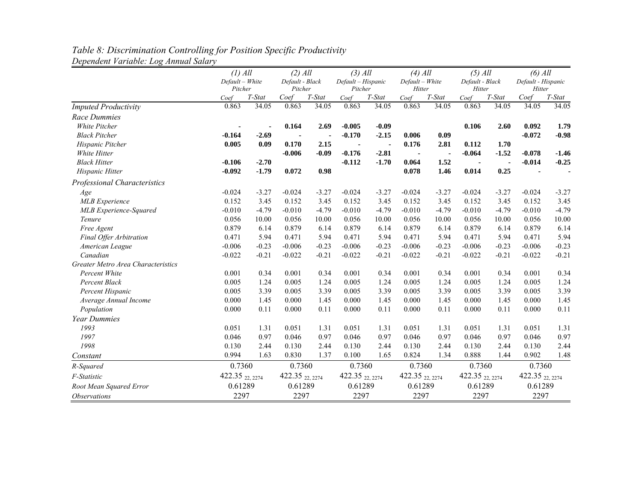# *Table 8: Discrimination Controlling for Position Specific Productivity Dependent Variable: Log Annual Salary*

|                                     | $(1)$ All       |           | $(2)$ All       |           | $(3)$ All          |                | $(4)$ All         |                | $(5)$ All       |                | $(6)$ All          |         |
|-------------------------------------|-----------------|-----------|-----------------|-----------|--------------------|----------------|-------------------|----------------|-----------------|----------------|--------------------|---------|
|                                     | Default - White |           | Default - Black |           | Default - Hispanic |                | $Default - White$ |                | Default - Black |                | Default - Hispanic |         |
|                                     | Pitcher         |           | Pitcher         |           | Pitcher            |                | Hitter            |                | Hitter          |                | Hitter             |         |
|                                     | Coef            | $T$ -Stat | Coef            | $T$ -Stat | Coef               | T-Stat         | Coef              | T-Stat         | Coef            | T-Stat         | Coef               | T-Stat  |
| <b>Imputed Productivity</b>         | 0.863           | 34.05     | 0.863           | 34.05     | 0.863              | 34.05          | 0.863             | 34.05          | 0.863           | 34.05          | 34.05              | 34.05   |
| Race Dummies                        |                 |           |                 |           |                    |                |                   |                |                 |                |                    |         |
| <b>White Pitcher</b>                |                 |           | 0.164           | 2.69      | $-0.005$           | $-0.09$        |                   |                | 0.106           | 2.60           | 0.092              | 1.79    |
| <b>Black Pitcher</b>                | $-0.164$        | $-2.69$   |                 |           | $-0.170$           | $-2.15$        | 0.006             | 0.09           |                 |                | $-0.072$           | $-0.98$ |
| Hispanic Pitcher                    | 0.005           | 0.09      | 0.170           | 2.15      | ×                  | $\blacksquare$ | 0.176             | 2.81           | 0.112           | 1.70           |                    |         |
| <b>White Hitter</b>                 |                 |           | $-0.006$        | $-0.09$   | $-0.176$           | $-2.81$        | $\blacksquare$    | $\blacksquare$ | $-0.064$        | $-1.52$        | $-0.078$           | $-1.46$ |
| <b>Black Hitter</b>                 | $-0.106$        | $-2.70$   |                 |           | $-0.112$           | $-1.70$        | 0.064             | 1.52           | $\blacksquare$  | $\blacksquare$ | $-0.014$           | $-0.25$ |
| Hispanic Hitter                     | $-0.092$        | $-1.79$   | 0.072           | 0.98      |                    |                | 0.078             | 1.46           | 0.014           | 0.25           | $\blacksquare$     |         |
| <b>Professional Characteristics</b> |                 |           |                 |           |                    |                |                   |                |                 |                |                    |         |
| Age                                 | $-0.024$        | $-3.27$   | $-0.024$        | $-3.27$   | $-0.024$           | $-3.27$        | $-0.024$          | $-3.27$        | $-0.024$        | $-3.27$        | $-0.024$           | $-3.27$ |
| <b>MLB</b> Experience               | 0.152           | 3.45      | 0.152           | 3.45      | 0.152              | 3.45           | 0.152             | 3.45           | 0.152           | 3.45           | 0.152              | 3.45    |
| MLB Experience-Squared              | $-0.010$        | $-4.79$   | $-0.010$        | $-4.79$   | $-0.010$           | $-4.79$        | $-0.010$          | $-4.79$        | $-0.010$        | $-4.79$        | $-0.010$           | $-4.79$ |
| Tenure                              | 0.056           | 10.00     | 0.056           | 10.00     | 0.056              | 10.00          | 0.056             | 10.00          | 0.056           | 10.00          | 0.056              | 10.00   |
| Free Agent                          | 0.879           | 6.14      | 0.879           | 6.14      | 0.879              | 6.14           | 0.879             | 6.14           | 0.879           | 6.14           | 0.879              | 6.14    |
| Final Offer Arbitration             | 0.471           | 5.94      | 0.471           | 5.94      | 0.471              | 5.94           | 0.471             | 5.94           | 0.471           | 5.94           | 0.471              | 5.94    |
| American League                     | $-0.006$        | $-0.23$   | $-0.006$        | $-0.23$   | $-0.006$           | $-0.23$        | $-0.006$          | $-0.23$        | $-0.006$        | $-0.23$        | $-0.006$           | $-0.23$ |
| Canadian                            | $-0.022$        | $-0.21$   | $-0.022$        | $-0.21$   | $-0.022$           | $-0.21$        | $-0.022$          | $-0.21$        | $-0.022$        | $-0.21$        | $-0.022$           | $-0.21$ |
| Greater Metro Area Characteristics  |                 |           |                 |           |                    |                |                   |                |                 |                |                    |         |
| Percent White                       | 0.001           | 0.34      | 0.001           | 0.34      | 0.001              | 0.34           | 0.001             | 0.34           | 0.001           | 0.34           | 0.001              | 0.34    |
| <b>Percent Black</b>                | 0.005           | 1.24      | 0.005           | 1.24      | 0.005              | 1.24           | 0.005             | 1.24           | 0.005           | 1.24           | 0.005              | 1.24    |
| Percent Hispanic                    | 0.005           | 3.39      | 0.005           | 3.39      | 0.005              | 3.39           | 0.005             | 3.39           | 0.005           | 3.39           | 0.005              | 3.39    |
| Average Annual Income               | 0.000           | 1.45      | 0.000           | 1.45      | 0.000              | 1.45           | 0.000             | 1.45           | 0.000           | 1.45           | 0.000              | 1.45    |
| Population                          | 0.000           | 0.11      | 0.000           | 0.11      | 0.000              | 0.11           | 0.000             | 0.11           | 0.000           | 0.11           | 0.000              | 0.11    |
| Year Dummies                        |                 |           |                 |           |                    |                |                   |                |                 |                |                    |         |
| 1993                                | 0.051           | 1.31      | 0.051           | 1.31      | 0.051              | 1.31           | 0.051             | 1.31           | 0.051           | 1.31           | 0.051              | 1.31    |
| 1997                                | 0.046           | 0.97      | 0.046           | 0.97      | 0.046              | 0.97           | 0.046             | 0.97           | 0.046           | 0.97           | 0.046              | 0.97    |
| 1998                                | 0.130           | 2.44      | 0.130           | 2.44      | 0.130              | 2.44           | 0.130             | 2.44           | 0.130           | 2.44           | 0.130              | 2.44    |
| Constant                            | 0.994           | 1.63      | 0.830           | 1.37      | 0.100              | 1.65           | 0.824             | 1.34           | 0.888           | 1.44           | 0.902              | 1.48    |
| R-Squared                           | 0.7360          |           | 0.7360          |           | 0.7360             |                | 0.7360            |                | 0.7360          |                | 0.7360             |         |
| F-Statistic                         | 422.35 22, 2274 |           | 422.35 22, 2274 |           | 422.35 22, 2274    |                | 422.35 22, 2274   |                | 422.35 22, 2274 |                | 422.35 22, 2274    |         |
| Root Mean Squared Error             | 0.61289         |           | 0.61289         |           | 0.61289            |                | 0.61289           |                | 0.61289         |                | 0.61289            |         |
| <i><b>Observations</b></i>          | 2297            |           | 2297            |           | 2297               |                | 2297              |                | 2297            |                | 2297               |         |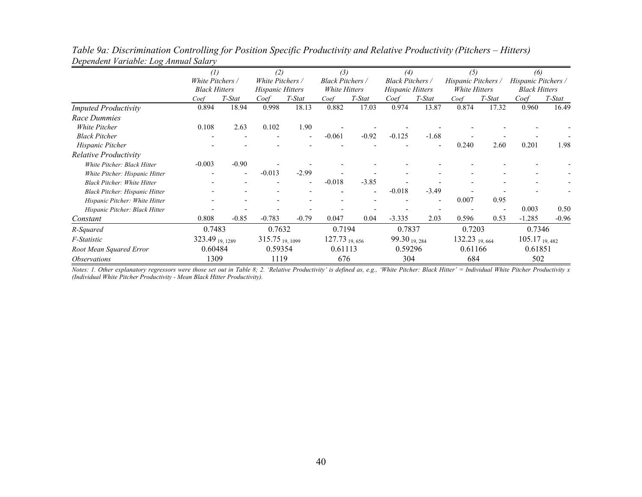|                                    | (1)                                      |         | (2)                                  |         | (3)                                           |         | (4)                                         |         | (5)                                         |                          | (6)                                         |         |
|------------------------------------|------------------------------------------|---------|--------------------------------------|---------|-----------------------------------------------|---------|---------------------------------------------|---------|---------------------------------------------|--------------------------|---------------------------------------------|---------|
|                                    | White Pitchers /<br><b>Black Hitters</b> |         | White Pitchers /<br>Hispanic Hitters |         | <b>Black Pitchers</b><br><b>White Hitters</b> |         | <b>Black Pitchers</b> /<br>Hispanic Hitters |         | Hispanic Pitchers /<br><b>White Hitters</b> |                          | Hispanic Pitchers /<br><b>Black Hitters</b> |         |
|                                    | Coef                                     | T-Stat  | Coef                                 | T-Stat  | Coef                                          | T-Stat  | Coef                                        | T-Stat  | Coef                                        | T-Stat                   | Coef                                        | T-Stat  |
| <b>Imputed Productivity</b>        | 0.894                                    | 18.94   | 0.998                                | 18.13   | 0.882                                         | 17.03   | 0.974                                       | 13.87   | 0.874                                       | 17.32                    | 0.960                                       | 16.49   |
| Race Dummies                       |                                          |         |                                      |         |                                               |         |                                             |         |                                             |                          |                                             |         |
| <b>White Pitcher</b>               | 0.108                                    | 2.63    | 0.102                                | 1.90    |                                               |         |                                             |         |                                             |                          |                                             |         |
| <b>Black Pitcher</b>               |                                          |         |                                      |         | $-0.061$                                      | $-0.92$ | $-0.125$                                    | $-1.68$ |                                             |                          |                                             |         |
| Hispanic Pitcher                   |                                          |         |                                      |         |                                               |         |                                             |         | 0.240                                       | 2.60                     | 0.201                                       | 1.98    |
| Relative Productivity              |                                          |         |                                      |         |                                               |         |                                             |         |                                             |                          |                                             |         |
| White Pitcher: Black Hitter        | $-0.003$                                 | $-0.90$ |                                      |         |                                               |         |                                             |         |                                             |                          |                                             |         |
| White Pitcher: Hispanic Hitter     |                                          |         | $-0.013$                             | $-2.99$ |                                               |         |                                             |         |                                             |                          |                                             |         |
| <b>Black Pitcher: White Hitter</b> |                                          |         |                                      |         | $-0.018$                                      | $-3.85$ |                                             |         |                                             |                          |                                             |         |
| Black Pitcher: Hispanic Hitter     |                                          |         |                                      |         |                                               |         | $-0.018$                                    | $-3.49$ |                                             |                          |                                             |         |
| Hispanic Pitcher: White Hitter     |                                          |         |                                      |         |                                               |         |                                             |         | 0.007                                       | 0.95                     |                                             |         |
| Hispanic Pitcher: Black Hitter     |                                          |         |                                      |         |                                               |         |                                             |         |                                             | $\overline{\phantom{a}}$ | 0.003                                       | 0.50    |
| Constant                           | 0.808                                    | $-0.85$ | $-0.783$                             | $-0.79$ | 0.047                                         | 0.04    | $-3.335$                                    | 2.03    | 0.596                                       | 0.53                     | $-1.285$                                    | $-0.96$ |
| R-Squared                          | 0.7483                                   |         | 0.7632                               |         | 0.7194                                        |         | 0.7837                                      |         | 0.7203                                      |                          | 0.7346                                      |         |
| F-Statistic                        | 323.49 19, 1289                          |         | $315.75_{19,1099}$                   |         | $127.73_{19,656}$                             |         | 99.30 19, 284                               |         | 132.23 $_{19,664}$                          |                          | $105.17_{19,482}$                           |         |
| Root Mean Squared Error            | 0.60484                                  |         | 0.59354                              |         | 0.61113                                       |         | 0.59296                                     |         | 0.61166                                     |                          | 0.61851                                     |         |
| <i><b>Observations</b></i>         | 1309                                     |         | 1119                                 |         | 676                                           |         | 304                                         |         | 684                                         |                          | 502                                         |         |

*Table 9a: Discrimination Controlling for Position Specific Productivity and Relative Productivity (Pitchers – Hitters) Dependent Variable: Log Annual Salary*

*Notes: 1. Other explanatory regressors were those set out in Table 8; 2. 'Relative Productivity' is defined as, e.g., 'White Pitcher: Black Hitter' = Individual White Pitcher Productivity x (Individual White Pitcher Productivity - Mean Black Hitter Productivity).*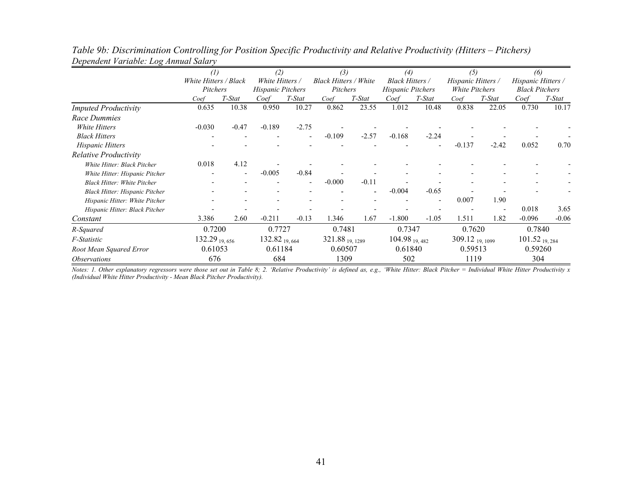|                                    |                       |         |                    |         | (3)                          |         | (4)                    |         | (5)                   |                          | (6)                   |         |
|------------------------------------|-----------------------|---------|--------------------|---------|------------------------------|---------|------------------------|---------|-----------------------|--------------------------|-----------------------|---------|
|                                    | White Hitters / Black |         | White Hitters /    |         | <b>Black Hitters / White</b> |         | <b>Black Hitters</b> / |         | Hispanic Hitters /    |                          | Hispanic Hitters /    |         |
|                                    | Pitchers              |         | Hispanic Pitchers  |         | Pitchers                     |         | Hispanic Pitchers      |         | <b>White Pitchers</b> |                          | <b>Black Pitchers</b> |         |
|                                    | Coef                  | T-Stat  | Coef               | T-Stat  | Coef                         | T-Stat  | Coef                   | T-Stat  | Coef                  | T-Stat                   | Coef                  | T-Stat  |
| <b>Imputed Productivity</b>        | 0.635                 | 10.38   | 0.950              | 10.27   | 0.862                        | 23.55   | 1.012                  | 10.48   | 0.838                 | 22.05                    | 0.730                 | 10.17   |
| Race Dummies                       |                       |         |                    |         |                              |         |                        |         |                       |                          |                       |         |
| <b>White Hitters</b>               | $-0.030$              | $-0.47$ | $-0.189$           | $-2.75$ |                              |         |                        |         |                       |                          |                       |         |
| <b>Black Hitters</b>               |                       |         |                    |         | $-0.109$                     | $-2.57$ | $-0.168$               | $-2.24$ |                       |                          |                       |         |
| Hispanic Hitters                   |                       |         |                    |         |                              |         |                        |         | $-0.137$              | $-2.42$                  | 0.052                 | 0.70    |
| Relative Productivity              |                       |         |                    |         |                              |         |                        |         |                       |                          |                       |         |
| White Hitter: Black Pitcher        | 0.018                 | 4.12    |                    |         |                              |         |                        |         |                       |                          |                       |         |
| White Hitter: Hispanic Pitcher     |                       |         | $-0.005$           | $-0.84$ |                              |         |                        |         |                       |                          |                       |         |
| <b>Black Hitter: White Pitcher</b> |                       |         |                    |         | $-0.000$                     | $-0.11$ |                        |         |                       |                          |                       |         |
| Black Hitter: Hispanic Pitcher     |                       |         |                    |         |                              |         | $-0.004$               | $-0.65$ |                       |                          |                       |         |
| Hispanic Hitter: White Pitcher     |                       |         |                    |         |                              |         |                        |         | 0.007                 | 1.90                     |                       |         |
| Hispanic Hitter: Black Pitcher     |                       |         |                    |         |                              |         |                        |         |                       | $\overline{\phantom{0}}$ | 0.018                 | 3.65    |
| Constant                           | 3.386                 | 2.60    | $-0.211$           | $-0.13$ | 1.346                        | 1.67    | $-1.800$               | $-1.05$ | 1.511                 | 1.82                     | $-0.096$              | $-0.06$ |
| R-Squared                          | 0.7200                |         | 0.7727             |         | 0.7481                       |         | 0.7347                 |         | 0.7620                |                          | 0.7840                |         |
| F-Statistic                        | $132.29_{19,656}$     |         | 132.82 $_{19,664}$ |         | $321.88_{19,1289}$           |         | $104.98_{19.482}$      |         | 309.12 $_{19, 1099}$  |                          | $101.52_{19,284}$     |         |
| Root Mean Squared Error            | 0.61053               |         | 0.61184            |         | 0.60507                      |         | 0.61840                |         | 0.59513               |                          | 0.59260               |         |
| <i><b>Observations</b></i>         | 676                   |         | 684                |         | 1309                         |         | 502                    |         | 1119                  |                          | 304                   |         |

*Table 9b: Discrimination Controlling for Position Specific Productivity and Relative Productivity (Hitters – Pitchers) Dependent Variable: Log Annual Salary*

*Notes: 1. Other explanatory regressors were those set out in Table 8; 2. 'Relative Productivity' is defined as, e.g., 'White Hitter: Black Pitcher = Individual White Hitter Productivity x (Individual White Hitter Productivity - Mean Black Pitcher Productivity).*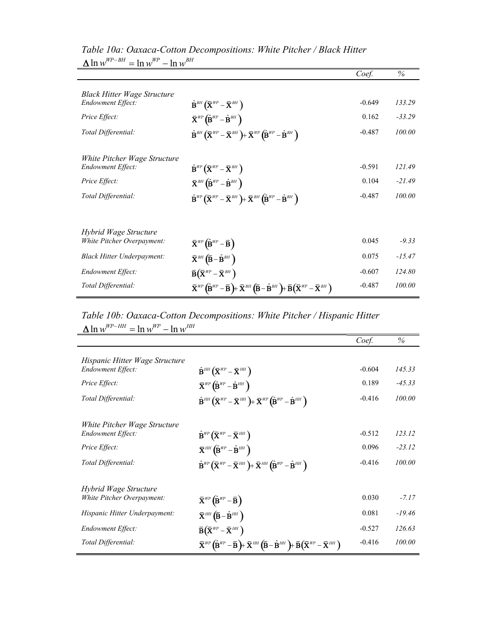|                                                         |                                                                                                                                                                                                                                                               | Coef.    | $\%$     |
|---------------------------------------------------------|---------------------------------------------------------------------------------------------------------------------------------------------------------------------------------------------------------------------------------------------------------------|----------|----------|
| <b>Black Hitter Wage Structure</b><br>Endowment Effect: | $\hat{\mathbf{B}}^{BH}\left(\mathbf{\bar{X}}^{WP}-\mathbf{\bar{X}}^{BH}\right)$                                                                                                                                                                               | $-0.649$ | 133.29   |
| Price Effect:                                           | $\bar{\mathbf{X}}^{W P}$ $(\hat{\mathbf{B}}^{W P} - \hat{\mathbf{B}}^{B H})$                                                                                                                                                                                  | 0.162    | $-33.29$ |
| Total Differential:                                     | $\hat{\mathbf{B}}^{\textit{\tiny BH}}\left(\mathbf{\bar{X}}^{\textit{\tiny WP}}-\mathbf{\bar{X}}^{\textit{\tiny BH}}\right)+\mathbf{\bar{X}}^{\textit{\tiny HP}}\left(\hat{\mathbf{B}}^{\textit{\tiny WP}}-\hat{\mathbf{B}}^{\textit{\tiny BH}}\right)$       | $-0.487$ | 100.00   |
| White Pitcher Wage Structure<br>Endowment Effect:       | $\hat{\mathbf{B}}^{W P} \left( \mathbf{\bar{X}}^{W P} - \mathbf{\bar{X}}^{B H} \right)$                                                                                                                                                                       | $-0.591$ | 121.49   |
| Price Effect:                                           | $\bar{\mathbf{X}}^{BH}(\hat{\mathbf{B}}^{WP}-\hat{\mathbf{B}}^{BH})$                                                                                                                                                                                          | 0.104    | $-21.49$ |
| Total Differential:                                     | $\hat{\mathbf{B}}^{WP}\left(\overline{\mathbf{X}}^{WP}-\overline{\mathbf{X}}^{BH}\right)+\overline{\mathbf{X}}^{BH}\left(\hat{\mathbf{B}}^{WP}-\hat{\mathbf{B}}^{BH}\right)$                                                                                  | $-0.487$ | 100.00   |
| Hybrid Wage Structure<br>White Pitcher Overpayment:     |                                                                                                                                                                                                                                                               | 0.045    | $-9.33$  |
|                                                         | $\bar{\mathbf{X}}^{W P}(\hat{\mathbf{B}}^{W P} - \bar{\mathbf{B}})$                                                                                                                                                                                           |          |          |
| <b>Black Hitter Underpayment:</b>                       | $\bar{\mathbf{X}}^{BH}$ $\left(\mathbf{\bar{B}} - \hat{\mathbf{B}}^{BH}\right)$                                                                                                                                                                               | 0.075    | $-15.47$ |
| Endowment Effect:                                       | $\bar{\mathbf{B}}(\bar{\mathbf{X}}^{WP}-\bar{\mathbf{X}}^{BH})$                                                                                                                                                                                               | $-0.607$ | 124.80   |
| Total Differential:                                     | $\mathbf{\bar{X}}^{_{WP}}\left( \mathbf{\hat{B}}^{_{WP}}-\mathbf{\bar{B}}\right) \!\!+\mathbf{\bar{X}}^{_{BH}}\left( \mathbf{\bar{B}}-\mathbf{\hat{B}}^{_{BH}}\right) \!\!+\mathbf{\bar{B}}\!\left( \mathbf{\bar{X}}^{_{WP}}-\mathbf{\bar{X}}^{_{BH}}\right)$ | $-0.487$ | 100.00   |

*Table 10a: Oaxaca-Cotton Decompositions: White Pitcher / Black Hitter*   $\Delta \ln w^{WP-BH} = \ln w^{WP} - \ln w^{BH}$ 

*Table 10b: Oaxaca-Cotton Decompositions: White Pitcher / Hispanic Hitter*   $\Delta \ln w^{WP-HH} = \ln w^{WP} - \ln w^{HH}$ 

|                                |                                                                                                                                                                                                                              | Coef.    | %        |
|--------------------------------|------------------------------------------------------------------------------------------------------------------------------------------------------------------------------------------------------------------------------|----------|----------|
| Hispanic Hitter Wage Structure |                                                                                                                                                                                                                              |          |          |
| Endowment Effect:              | $\hat{\mathbf{B}}^{HH}\left(\mathbf{\bar{X}}^{WP}-\mathbf{\bar{X}}^{HH}\right)$                                                                                                                                              | $-0.604$ | 145.33   |
| Price Effect:                  | $\bar{\mathbf{X}}^{WP}\left(\hat{\mathbf{B}}^{WP}-\hat{\mathbf{B}}^{HH}\right)$                                                                                                                                              | 0.189    | $-45.33$ |
| Total Differential:            | $\hat{\mathbf{B}}^{HH}\left(\mathbf{\bar{X}}^{WP}-\mathbf{\bar{X}}^{HH}\right)+\mathbf{\bar{X}}^{WP}\left(\mathbf{\hat{B}}^{WP}-\mathbf{\hat{B}}^{HH}\right)$                                                                | $-0.416$ | 100.00   |
| White Pitcher Wage Structure   |                                                                                                                                                                                                                              |          |          |
| Endowment Effect:              | $\hat{\mathbf{B}}^{W P} \left( \overline{\mathbf{X}}^{W P} - \overline{\mathbf{X}}^{H H} \right)$                                                                                                                            | $-0.512$ | 123.12   |
| Price Effect:                  | $\bar{\mathbf{X}}^{HH}\left(\hat{\mathbf{B}}^{WP}-\hat{\mathbf{B}}^{HH}\right)$                                                                                                                                              | 0.096    | $-23.12$ |
| Total Differential:            | $\hat{\mathbf{B}}^{WP}\left(\mathbf{\bar{X}}^{WP}-\mathbf{\bar{X}}^{HH}\right)+\mathbf{\bar{X}}^{HH}\left(\mathbf{\hat{B}}^{WP}-\hat{\mathbf{B}}^{HH}\right)$                                                                | $-0.416$ | 100.00   |
| Hybrid Wage Structure          |                                                                                                                                                                                                                              |          |          |
| White Pitcher Overpayment:     | $\bar{\mathbf{X}}^{W P}(\hat{\mathbf{B}}^{W P} - \bar{\mathbf{B}})$                                                                                                                                                          | 0.030    | $-7.17$  |
| Hispanic Hitter Underpayment:  | $\bar{\mathbf{X}}^{HH}(\bar{\mathbf{B}} - \hat{\mathbf{B}}^{HH})$                                                                                                                                                            | 0.081    | $-19.46$ |
| Endowment Effect:              | $\bar{\mathbf{B}}(\bar{\mathbf{X}}^{WP}-\bar{\mathbf{X}}^{HH})$                                                                                                                                                              | $-0.527$ | 126.63   |
| Total Differential:            | $\bar{\mathbf{X}}^{HP}\left(\hat{\mathbf{B}}^{HP}-\mathbf{\bar{B}}\right)+\bar{\mathbf{X}}^{HH}\left(\mathbf{\bar{B}}-\hat{\mathbf{B}}^{HH}\right)+\mathbf{\bar{B}}\left(\mathbf{\bar{X}}^{HP}-\mathbf{\bar{X}}^{HH}\right)$ | $-0.416$ | 100.00   |